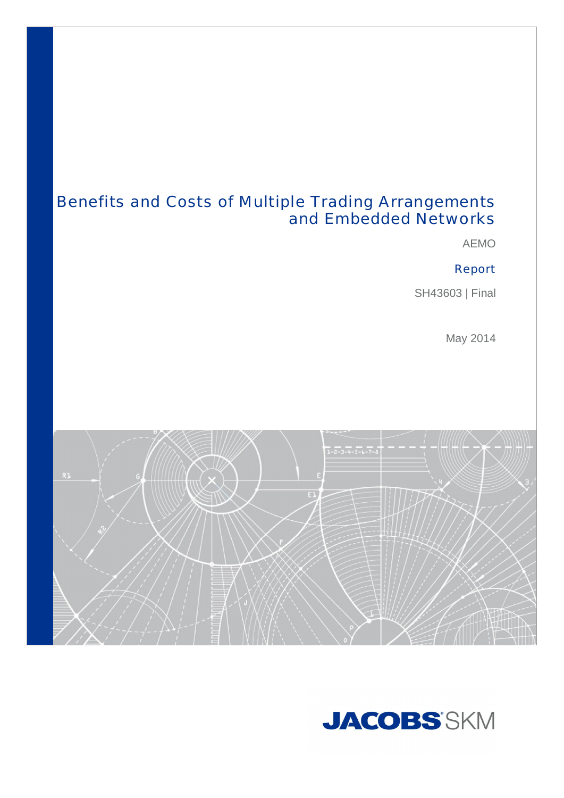# Benefits and Costs of Multiple Trading Arrangements and Embedded Networks

AEMO

Report

SH43603 | Final

May 2014



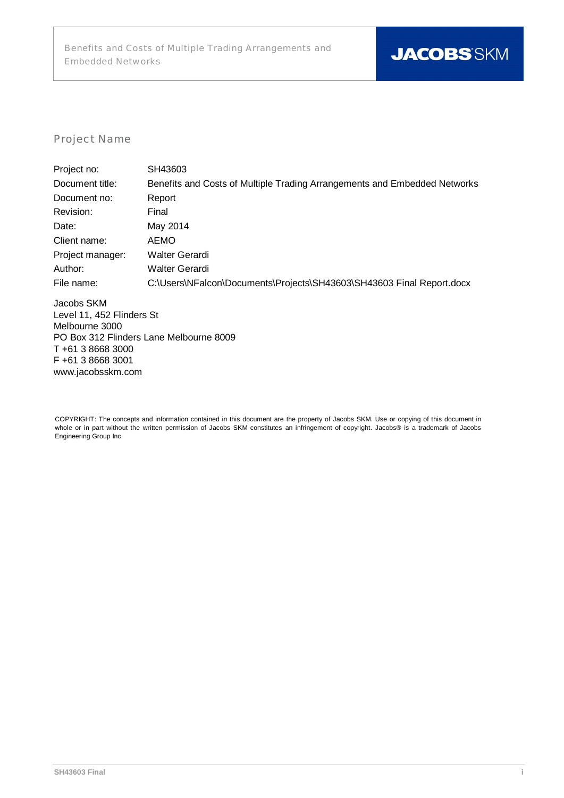### Project Name

| Project no:      | SH43603                                                                   |
|------------------|---------------------------------------------------------------------------|
| Document title:  | Benefits and Costs of Multiple Trading Arrangements and Embedded Networks |
| Document no:     | Report                                                                    |
| Revision:        | Final                                                                     |
| Date:            | May 2014                                                                  |
| Client name:     | <b>AEMO</b>                                                               |
| Project manager: | Walter Gerardi                                                            |
| Author:          | Walter Gerardi                                                            |
| File name:       | C:\Users\NFalcon\Documents\Projects\SH43603\SH43603 Final Report.docx     |

Jacobs SKM Level 11, 452 Flinders St Melbourne 3000 PO Box 312 Flinders Lane Melbourne 8009 T +61 3 8668 3000 F +61 3 8668 3001 www.jacobsskm.com

COPYRIGHT: The concepts and information contained in this document are the property of Jacobs SKM. Use or copying of this document in whole or in part without the written permission of Jacobs SKM constitutes an infringement of copyright. Jacobs® is a trademark of Jacobs Engineering Group Inc.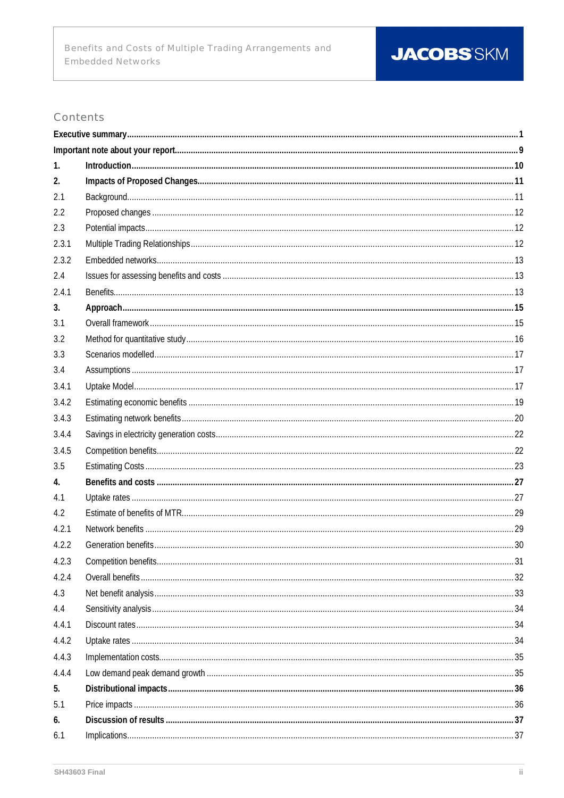

### Contents

| 1.    |  |
|-------|--|
| 2.    |  |
| 2.1   |  |
| 2.2   |  |
| 2.3   |  |
| 2.3.1 |  |
| 2.3.2 |  |
| 2.4   |  |
| 2.4.1 |  |
| 3.    |  |
| 3.1   |  |
| 3.2   |  |
| 3.3   |  |
| 3.4   |  |
| 3.4.1 |  |
| 3.4.2 |  |
| 3.4.3 |  |
| 3.4.4 |  |
| 3.4.5 |  |
| 3.5   |  |
| 4.    |  |
| 4.1   |  |
| 4.2   |  |
| 4.2.1 |  |
| 4.2.2 |  |
| 4.2.3 |  |
| 4.2.4 |  |
| 4.3   |  |
| 4.4   |  |
| 4.4.1 |  |
| 4.4.2 |  |
| 4.4.3 |  |
| 4.4.4 |  |
| 5.    |  |
| 5.1   |  |
| 6.    |  |
| 6.1   |  |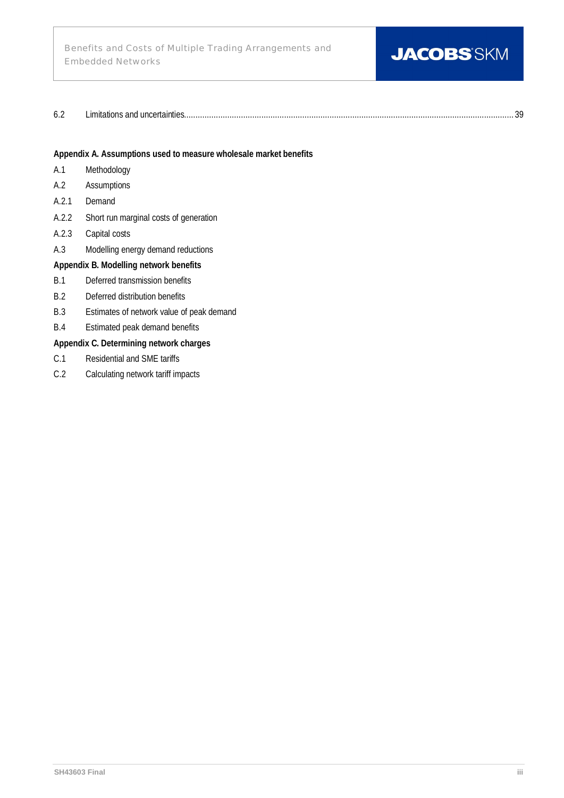# **JACOBS'SKM**

| b.Z |  |  |
|-----|--|--|
|-----|--|--|

**Appendix A. Assumptions used to measure wholesale market benefits**

- A.1 Methodology
- A.2 Assumptions
- A.2.1 Demand
- A.2.2 Short run marginal costs of generation
- A.2.3 Capital costs
- A.3 Modelling energy demand reductions

**Appendix B. Modelling network benefits**

- B.1 Deferred transmission benefits
- B.2 Deferred distribution benefits
- B.3 Estimates of network value of peak demand
- B.4 Estimated peak demand benefits

**Appendix C. Determining network charges**

- C.1 Residential and SME tariffs
- C.2 Calculating network tariff impacts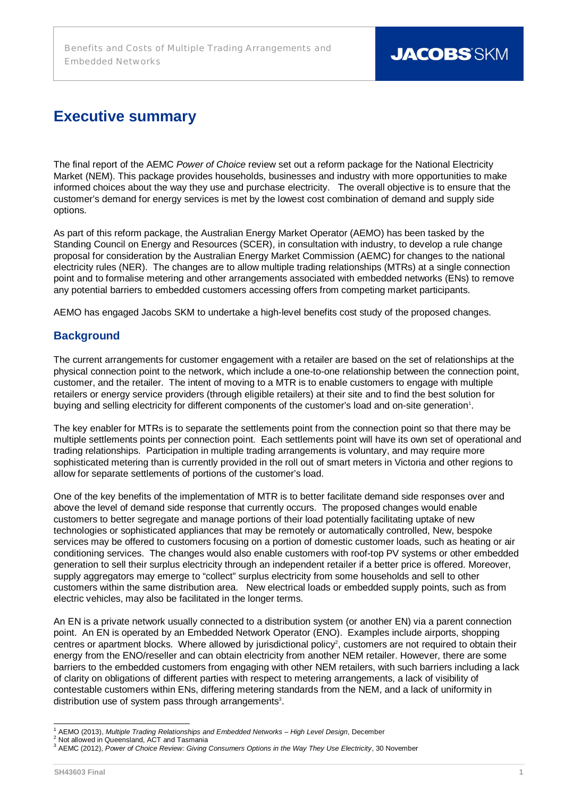# **Executive summary**

The final report of the AEMC *Power of Choice* review set out a reform package for the National Electricity Market (NEM). This package provides households, businesses and industry with more opportunities to make informed choices about the way they use and purchase electricity. The overall objective is to ensure that the customer's demand for energy services is met by the lowest cost combination of demand and supply side options.

As part of this reform package, the Australian Energy Market Operator (AEMO) has been tasked by the Standing Council on Energy and Resources (SCER), in consultation with industry, to develop a rule change proposal for consideration by the Australian Energy Market Commission (AEMC) for changes to the national electricity rules (NER). The changes are to allow multiple trading relationships (MTRs) at a single connection point and to formalise metering and other arrangements associated with embedded networks (ENs) to remove any potential barriers to embedded customers accessing offers from competing market participants.

AEMO has engaged Jacobs SKM to undertake a high-level benefits cost study of the proposed changes.

# **Background**

The current arrangements for customer engagement with a retailer are based on the set of relationships at the physical connection point to the network, which include a one-to-one relationship between the connection point, customer, and the retailer. The intent of moving to a MTR is to enable customers to engage with multiple retailers or energy service providers (through eligible retailers) at their site and to find the best solution for buying and selling electricity for different components of the customer's load and on-site generation<sup>1</sup>.

The key enabler for MTRs is to separate the settlements point from the connection point so that there may be multiple settlements points per connection point. Each settlements point will have its own set of operational and trading relationships. Participation in multiple trading arrangements is voluntary, and may require more sophisticated metering than is currently provided in the roll out of smart meters in Victoria and other regions to allow for separate settlements of portions of the customer's load.

One of the key benefits of the implementation of MTR is to better facilitate demand side responses over and above the level of demand side response that currently occurs. The proposed changes would enable customers to better segregate and manage portions of their load potentially facilitating uptake of new technologies or sophisticated appliances that may be remotely or automatically controlled, New, bespoke services may be offered to customers focusing on a portion of domestic customer loads, such as heating or air conditioning services. The changes would also enable customers with roof-top PV systems or other embedded generation to sell their surplus electricity through an independent retailer if a better price is offered. Moreover, supply aggregators may emerge to "collect" surplus electricity from some households and sell to other customers within the same distribution area. New electrical loads or embedded supply points, such as from electric vehicles, may also be facilitated in the longer terms.

An EN is a private network usually connected to a distribution system (or another EN) via a parent connection point. An EN is operated by an Embedded Network Operator (ENO). Examples include airports, shopping centres or apartment blocks. Where allowed by jurisdictional policy<sup>2</sup>, customers are not required to obtain their energy from the ENO/reseller and can obtain electricity from another NEM retailer. However, there are some barriers to the embedded customers from engaging with other NEM retailers, with such barriers including a lack of clarity on obligations of different parties with respect to metering arrangements, a lack of visibility of contestable customers within ENs, differing metering standards from the NEM, and a lack of uniformity in distribution use of system pass through arrangements<sup>3</sup>.

1

<sup>1</sup> AEMO (2013), *Multiple Trading Relationships and Embedded Networks – High Level Design*, December

<sup>2</sup> Not allowed in Queensland, ACT and Tasmania

<sup>&</sup>lt;sup>3</sup> AEMC (2012), Power of Choice Review: Giving Consumers Options in the Way They Use Electricity, 30 November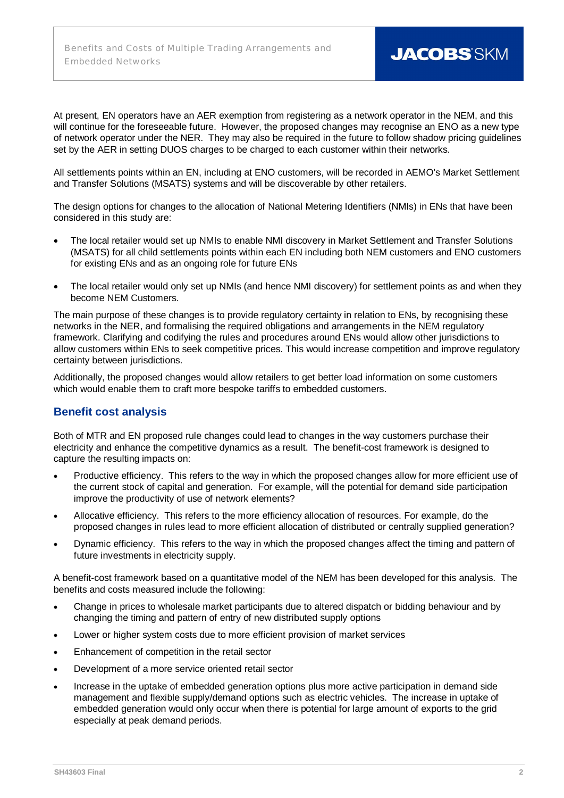At present, EN operators have an AER exemption from registering as a network operator in the NEM, and this will continue for the foreseeable future. However, the proposed changes may recognise an ENO as a new type of network operator under the NER. They may also be required in the future to follow shadow pricing guidelines set by the AER in setting DUOS charges to be charged to each customer within their networks.

All settlements points within an EN, including at ENO customers, will be recorded in AEMO's Market Settlement and Transfer Solutions (MSATS) systems and will be discoverable by other retailers.

The design options for changes to the allocation of National Metering Identifiers (NMIs) in ENs that have been considered in this study are:

- The local retailer would set up NMIs to enable NMI discovery in Market Settlement and Transfer Solutions (MSATS) for all child settlements points within each EN including both NEM customers and ENO customers for existing ENs and as an ongoing role for future ENs
- The local retailer would only set up NMIs (and hence NMI discovery) for settlement points as and when they become NEM Customers.

The main purpose of these changes is to provide regulatory certainty in relation to ENs, by recognising these networks in the NER, and formalising the required obligations and arrangements in the NEM regulatory framework. Clarifying and codifying the rules and procedures around ENs would allow other jurisdictions to allow customers within ENs to seek competitive prices. This would increase competition and improve regulatory certainty between jurisdictions.

Additionally, the proposed changes would allow retailers to get better load information on some customers which would enable them to craft more bespoke tariffs to embedded customers.

### **Benefit cost analysis**

Both of MTR and EN proposed rule changes could lead to changes in the way customers purchase their electricity and enhance the competitive dynamics as a result. The benefit-cost framework is designed to capture the resulting impacts on:

- Productive efficiency. This refers to the way in which the proposed changes allow for more efficient use of the current stock of capital and generation. For example, will the potential for demand side participation improve the productivity of use of network elements?
- Allocative efficiency. This refers to the more efficiency allocation of resources. For example, do the proposed changes in rules lead to more efficient allocation of distributed or centrally supplied generation?
- Dynamic efficiency. This refers to the way in which the proposed changes affect the timing and pattern of future investments in electricity supply.

A benefit-cost framework based on a quantitative model of the NEM has been developed for this analysis. The benefits and costs measured include the following:

- Change in prices to wholesale market participants due to altered dispatch or bidding behaviour and by changing the timing and pattern of entry of new distributed supply options
- Lower or higher system costs due to more efficient provision of market services
- Enhancement of competition in the retail sector
- Development of a more service oriented retail sector
- Increase in the uptake of embedded generation options plus more active participation in demand side management and flexible supply/demand options such as electric vehicles. The increase in uptake of embedded generation would only occur when there is potential for large amount of exports to the grid especially at peak demand periods.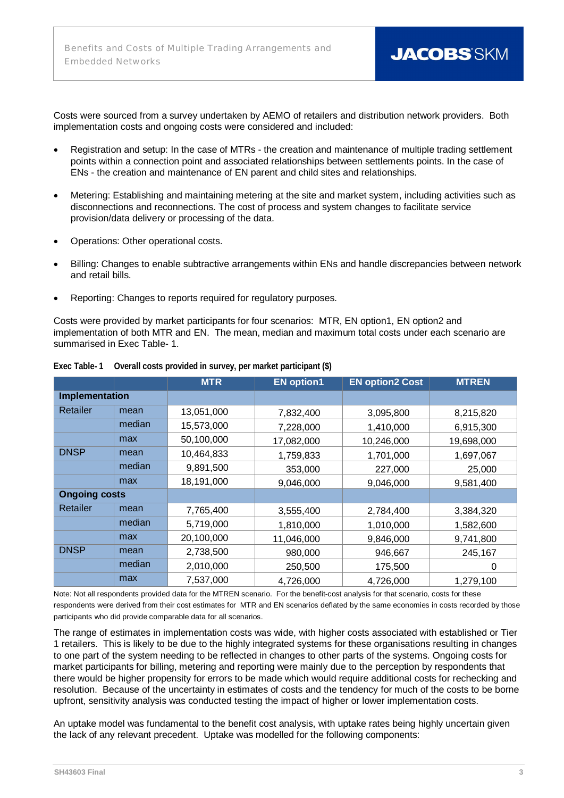Costs were sourced from a survey undertaken by AEMO of retailers and distribution network providers. Both implementation costs and ongoing costs were considered and included:

- x Registration and setup: In the case of MTRs the creation and maintenance of multiple trading settlement points within a connection point and associated relationships between settlements points. In the case of ENs - the creation and maintenance of EN parent and child sites and relationships.
- Metering: Establishing and maintaining metering at the site and market system, including activities such as disconnections and reconnections. The cost of process and system changes to facilitate service provision/data delivery or processing of the data.
- Operations: Other operational costs.
- Billing: Changes to enable subtractive arrangements within ENs and handle discrepancies between network and retail bills.
- Reporting: Changes to reports required for regulatory purposes.

Costs were provided by market participants for four scenarios: MTR, EN option1, EN option2 and implementation of both MTR and EN. The mean, median and maximum total costs under each scenario are summarised in Exec Table- 1.

|                      |        | <b>MTR</b> | <b>EN option1</b> | <b>EN option2 Cost</b> | <b>MTREN</b> |
|----------------------|--------|------------|-------------------|------------------------|--------------|
| Implementation       |        |            |                   |                        |              |
| Retailer             | mean   | 13,051,000 | 7,832,400         | 3,095,800              | 8,215,820    |
|                      | median | 15,573,000 | 7,228,000         | 1,410,000              | 6,915,300    |
|                      | max    | 50,100,000 | 17,082,000        | 10,246,000             | 19,698,000   |
| <b>DNSP</b>          | mean   | 10,464,833 | 1,759,833         | 1,701,000              | 1,697,067    |
|                      | median | 9,891,500  | 353,000           | 227,000                | 25,000       |
|                      | max    | 18,191,000 | 9,046,000         | 9,046,000              | 9,581,400    |
| <b>Ongoing costs</b> |        |            |                   |                        |              |
| Retailer             | mean   | 7,765,400  | 3,555,400         | 2,784,400              | 3,384,320    |
|                      | median | 5,719,000  | 1,810,000         | 1,010,000              | 1,582,600    |
|                      | max    | 20,100,000 | 11,046,000        | 9,846,000              | 9,741,800    |
| <b>DNSP</b>          | mean   | 2,738,500  | 980,000           | 946,667                | 245,167      |
|                      | median | 2,010,000  | 250,500           | 175,500                | $\Omega$     |
|                      | max    | 7,537,000  | 4,726,000         | 4,726,000              | 1,279,100    |

**Exec Table- 1 Overall costs provided in survey, per market participant (\$)** 

Note: Not all respondents provided data for the MTREN scenario. For the benefit-cost analysis for that scenario, costs for these respondents were derived from their cost estimates for MTR and EN scenarios deflated by the same economies in costs recorded by those participants who did provide comparable data for all scenarios.

The range of estimates in implementation costs was wide, with higher costs associated with established or Tier 1 retailers. This is likely to be due to the highly integrated systems for these organisations resulting in changes to one part of the system needing to be reflected in changes to other parts of the systems. Ongoing costs for market participants for billing, metering and reporting were mainly due to the perception by respondents that there would be higher propensity for errors to be made which would require additional costs for rechecking and resolution. Because of the uncertainty in estimates of costs and the tendency for much of the costs to be borne upfront, sensitivity analysis was conducted testing the impact of higher or lower implementation costs.

An uptake model was fundamental to the benefit cost analysis, with uptake rates being highly uncertain given the lack of any relevant precedent. Uptake was modelled for the following components: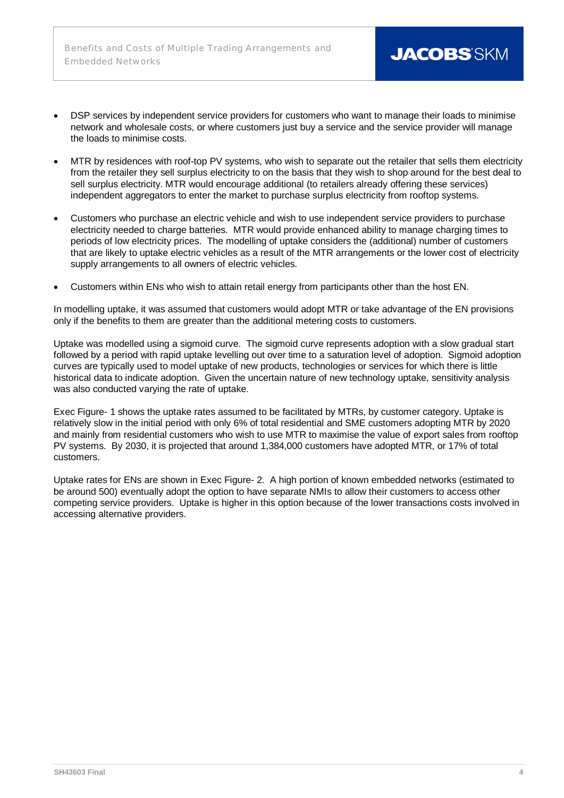- DSP services by independent service providers for customers who want to manage their loads to minimise network and wholesale costs, or where customers just buy a service and the service provider will manage the loads to minimise costs.
- MTR by residences with roof-top PV systems, who wish to separate out the retailer that sells them electricity from the retailer they sell surplus electricity to on the basis that they wish to shop around for the best deal to sell surplus electricity. MTR would encourage additional (to retailers already offering these services) independent aggregators to enter the market to purchase surplus electricity from rooftop systems.
- Customers who purchase an electric vehicle and wish to use independent service providers to purchase electricity needed to charge batteries. MTR would provide enhanced ability to manage charging times to periods of low electricity prices. The modelling of uptake considers the (additional) number of customers that are likely to uptake electric vehicles as a result of the MTR arrangements or the lower cost of electricity supply arrangements to all owners of electric vehicles.
- Customers within ENs who wish to attain retail energy from participants other than the host EN.

In modelling uptake, it was assumed that customers would adopt MTR or take advantage of the EN provisions only if the benefits to them are greater than the additional metering costs to customers.

Uptake was modelled using a sigmoid curve. The sigmoid curve represents adoption with a slow gradual start followed by a period with rapid uptake levelling out over time to a saturation level of adoption. Sigmoid adoption curves are typically used to model uptake of new products, technologies or services for which there is little historical data to indicate adoption. Given the uncertain nature of new technology uptake, sensitivity analysis was also conducted varying the rate of uptake.

Exec Figure- 1 shows the uptake rates assumed to be facilitated by MTRs, by customer category. Uptake is relatively slow in the initial period with only 6% of total residential and SME customers adopting MTR by 2020 and mainly from residential customers who wish to use MTR to maximise the value of export sales from rooftop PV systems. By 2030, it is projected that around 1,384,000 customers have adopted MTR, or 17% of total customers.

Uptake rates for ENs are shown in Exec Figure- 2. A high portion of known embedded networks (estimated to be around 500) eventually adopt the option to have separate NMIs to allow their customers to access other competing service providers. Uptake is higher in this option because of the lower transactions costs involved in accessing alternative providers.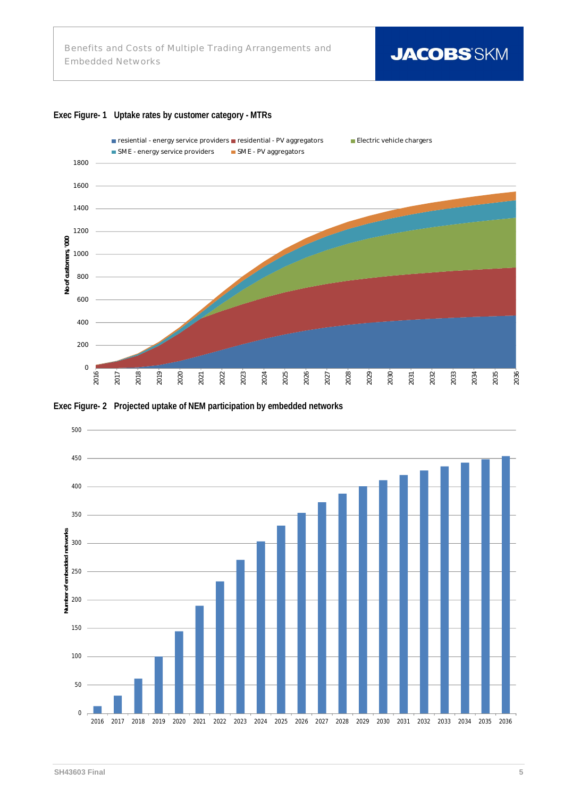

#### **Exec Figure- 1 Uptake rates by customer category - MTRs**

**Exec Figure- 2 Projected uptake of NEM participation by embedded networks** 

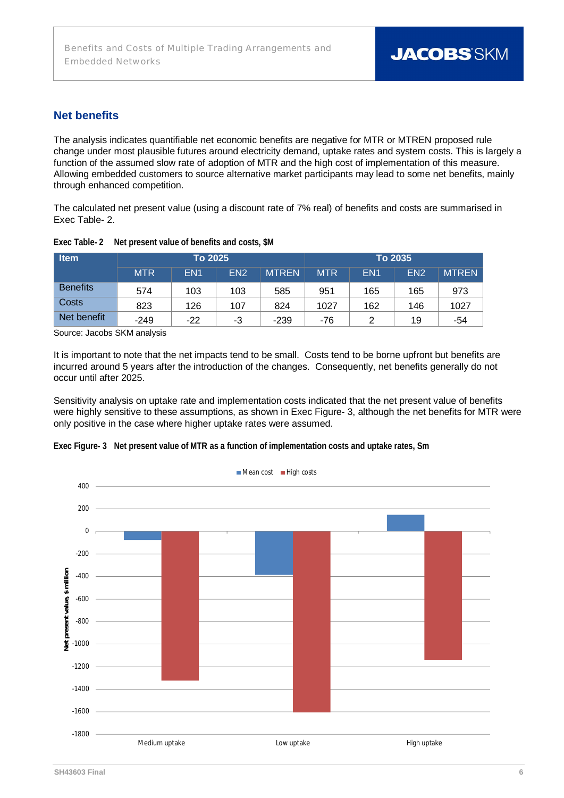# **Net benefits**

The analysis indicates quantifiable net economic benefits are negative for MTR or MTREN proposed rule change under most plausible futures around electricity demand, uptake rates and system costs. This is largely a function of the assumed slow rate of adoption of MTR and the high cost of implementation of this measure. Allowing embedded customers to source alternative market participants may lead to some net benefits, mainly through enhanced competition.

The calculated net present value (using a discount rate of 7% real) of benefits and costs are summarised in Exec Table- 2.

| Item            | To 2025    |                 |                 |              | To 2035    |                 |                 |              |
|-----------------|------------|-----------------|-----------------|--------------|------------|-----------------|-----------------|--------------|
|                 | <b>MTR</b> | EN <sub>1</sub> | EN <sub>2</sub> | <b>MTREN</b> | <b>MTR</b> | EN <sub>1</sub> | EN <sub>2</sub> | <b>MTREN</b> |
| <b>Benefits</b> | 574        | 103             | 103             | 585          | 951        | 165             | 165             | 973          |
| Costs           | 823        | 126             | 107             | 824          | 1027       | 162             | 146             | 1027         |
| Net benefit     | $-249$     | $-22$           | -3              | $-239$       | -76        |                 | 19              | -54          |

**Exec Table- 2 Net present value of benefits and costs, \$M** 

Source: Jacobs SKM analysis

It is important to note that the net impacts tend to be small. Costs tend to be borne upfront but benefits are incurred around 5 years after the introduction of the changes. Consequently, net benefits generally do not occur until after 2025.

Sensitivity analysis on uptake rate and implementation costs indicated that the net present value of benefits were highly sensitive to these assumptions, as shown in Exec Figure- 3, although the net benefits for MTR were only positive in the case where higher uptake rates were assumed.

**Exec Figure- 3 Net present value of MTR as a function of implementation costs and uptake rates, Sm** 

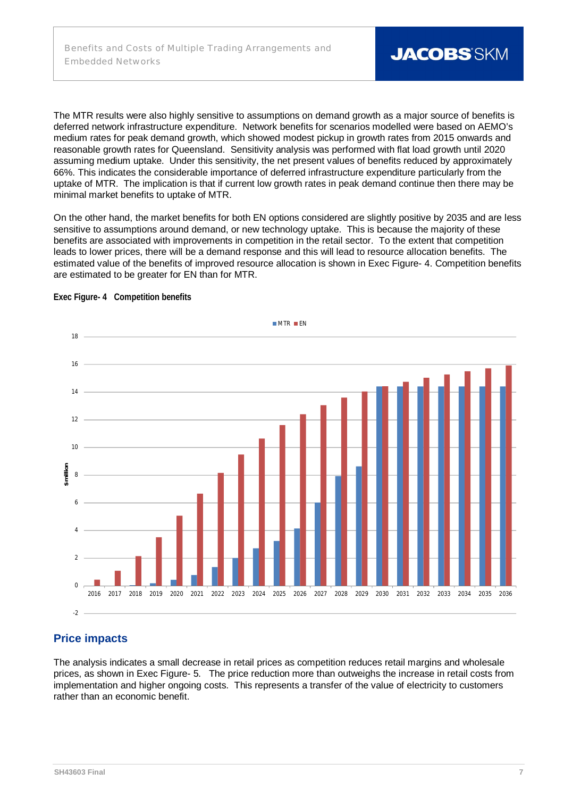The MTR results were also highly sensitive to assumptions on demand growth as a major source of benefits is deferred network infrastructure expenditure. Network benefits for scenarios modelled were based on AEMO's medium rates for peak demand growth, which showed modest pickup in growth rates from 2015 onwards and reasonable growth rates for Queensland. Sensitivity analysis was performed with flat load growth until 2020 assuming medium uptake. Under this sensitivity, the net present values of benefits reduced by approximately 66%. This indicates the considerable importance of deferred infrastructure expenditure particularly from the uptake of MTR. The implication is that if current low growth rates in peak demand continue then there may be minimal market benefits to uptake of MTR.

On the other hand, the market benefits for both EN options considered are slightly positive by 2035 and are less sensitive to assumptions around demand, or new technology uptake. This is because the majority of these benefits are associated with improvements in competition in the retail sector. To the extent that competition leads to lower prices, there will be a demand response and this will lead to resource allocation benefits. The estimated value of the benefits of improved resource allocation is shown in Exec Figure- 4. Competition benefits are estimated to be greater for EN than for MTR.



**Exec Figure- 4 Competition benefits** 

# **Price impacts**

The analysis indicates a small decrease in retail prices as competition reduces retail margins and wholesale prices, as shown in Exec Figure- 5. The price reduction more than outweighs the increase in retail costs from implementation and higher ongoing costs. This represents a transfer of the value of electricity to customers rather than an economic benefit.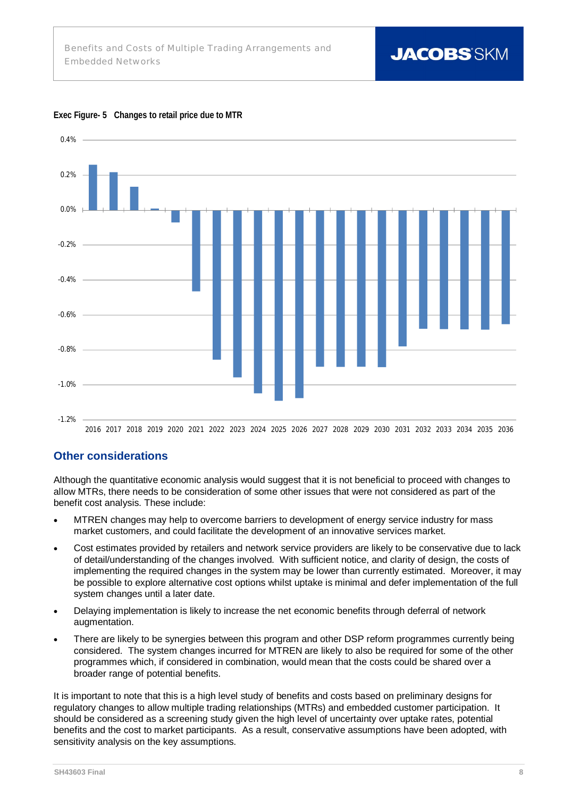



# **Other considerations**

Although the quantitative economic analysis would suggest that it is not beneficial to proceed with changes to allow MTRs, there needs to be consideration of some other issues that were not considered as part of the benefit cost analysis. These include:

- MTREN changes may help to overcome barriers to development of energy service industry for mass market customers, and could facilitate the development of an innovative services market.
- Cost estimates provided by retailers and network service providers are likely to be conservative due to lack of detail/understanding of the changes involved. With sufficient notice, and clarity of design, the costs of implementing the required changes in the system may be lower than currently estimated. Moreover, it may be possible to explore alternative cost options whilst uptake is minimal and defer implementation of the full system changes until a later date.
- Delaying implementation is likely to increase the net economic benefits through deferral of network augmentation.
- There are likely to be synergies between this program and other DSP reform programmes currently being considered. The system changes incurred for MTREN are likely to also be required for some of the other programmes which, if considered in combination, would mean that the costs could be shared over a broader range of potential benefits.

It is important to note that this is a high level study of benefits and costs based on preliminary designs for regulatory changes to allow multiple trading relationships (MTRs) and embedded customer participation. It should be considered as a screening study given the high level of uncertainty over uptake rates, potential benefits and the cost to market participants. As a result, conservative assumptions have been adopted, with sensitivity analysis on the key assumptions.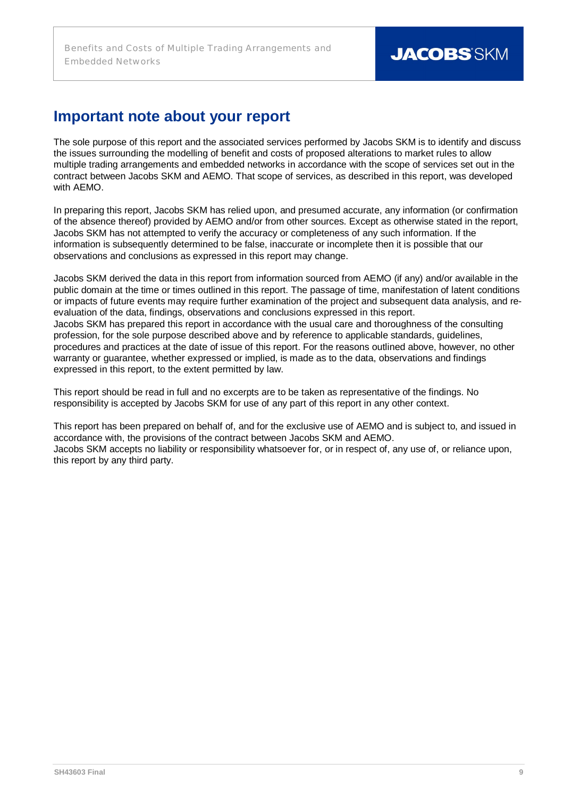# **Important note about your report**

The sole purpose of this report and the associated services performed by Jacobs SKM is to identify and discuss the issues surrounding the modelling of benefit and costs of proposed alterations to market rules to allow multiple trading arrangements and embedded networks in accordance with the scope of services set out in the contract between Jacobs SKM and AEMO. That scope of services, as described in this report, was developed with AEMO.

In preparing this report, Jacobs SKM has relied upon, and presumed accurate, any information (or confirmation of the absence thereof) provided by AEMO and/or from other sources. Except as otherwise stated in the report, Jacobs SKM has not attempted to verify the accuracy or completeness of any such information. If the information is subsequently determined to be false, inaccurate or incomplete then it is possible that our observations and conclusions as expressed in this report may change.

Jacobs SKM derived the data in this report from information sourced from AEMO (if any) and/or available in the public domain at the time or times outlined in this report. The passage of time, manifestation of latent conditions or impacts of future events may require further examination of the project and subsequent data analysis, and reevaluation of the data, findings, observations and conclusions expressed in this report. Jacobs SKM has prepared this report in accordance with the usual care and thoroughness of the consulting profession, for the sole purpose described above and by reference to applicable standards, guidelines, procedures and practices at the date of issue of this report. For the reasons outlined above, however, no other warranty or guarantee, whether expressed or implied, is made as to the data, observations and findings expressed in this report, to the extent permitted by law.

This report should be read in full and no excerpts are to be taken as representative of the findings. No responsibility is accepted by Jacobs SKM for use of any part of this report in any other context.

This report has been prepared on behalf of, and for the exclusive use of AEMO and is subject to, and issued in accordance with, the provisions of the contract between Jacobs SKM and AEMO. Jacobs SKM accepts no liability or responsibility whatsoever for, or in respect of, any use of, or reliance upon, this report by any third party.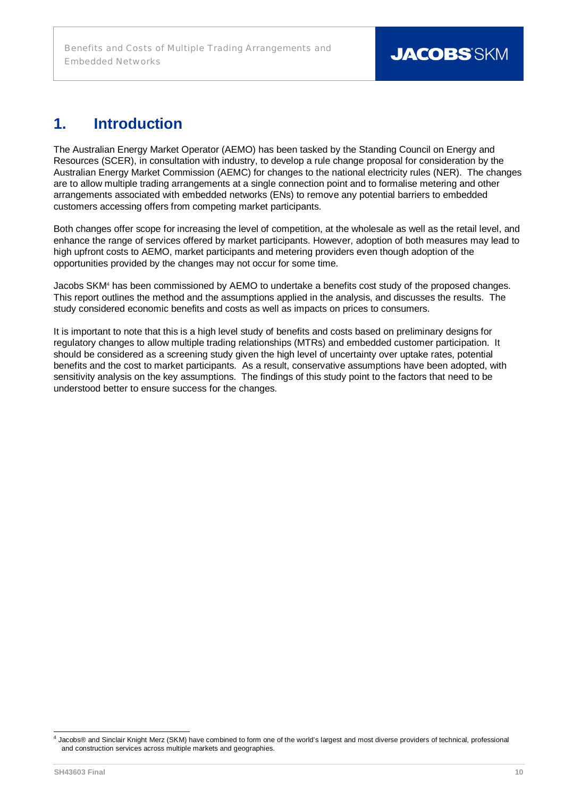# **1. Introduction**

The Australian Energy Market Operator (AEMO) has been tasked by the Standing Council on Energy and Resources (SCER), in consultation with industry, to develop a rule change proposal for consideration by the Australian Energy Market Commission (AEMC) for changes to the national electricity rules (NER). The changes are to allow multiple trading arrangements at a single connection point and to formalise metering and other arrangements associated with embedded networks (ENs) to remove any potential barriers to embedded customers accessing offers from competing market participants.

Both changes offer scope for increasing the level of competition, at the wholesale as well as the retail level, and enhance the range of services offered by market participants. However, adoption of both measures may lead to high upfront costs to AEMO, market participants and metering providers even though adoption of the opportunities provided by the changes may not occur for some time.

Jacobs SKM<sup>4</sup> has been commissioned by AEMO to undertake a benefits cost study of the proposed changes. This report outlines the method and the assumptions applied in the analysis, and discusses the results. The study considered economic benefits and costs as well as impacts on prices to consumers.

It is important to note that this is a high level study of benefits and costs based on preliminary designs for regulatory changes to allow multiple trading relationships (MTRs) and embedded customer participation. It should be considered as a screening study given the high level of uncertainty over uptake rates, potential benefits and the cost to market participants. As a result, conservative assumptions have been adopted, with sensitivity analysis on the key assumptions. The findings of this study point to the factors that need to be understood better to ensure success for the changes.

 $\overline{a}$ 4 Jacobs® and Sinclair Knight Merz (SKM) have combined to form one of the world's largest and most diverse providers of technical, professional and construction services across multiple markets and geographies.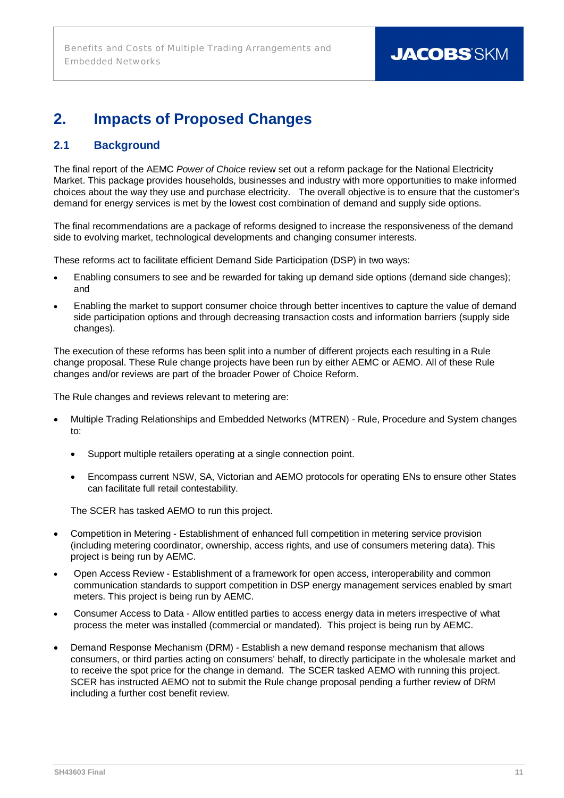# **2. Impacts of Proposed Changes**

# **2.1 Background**

The final report of the AEMC *Power of Choice* review set out a reform package for the National Electricity Market. This package provides households, businesses and industry with more opportunities to make informed choices about the way they use and purchase electricity. The overall objective is to ensure that the customer's demand for energy services is met by the lowest cost combination of demand and supply side options.

The final recommendations are a package of reforms designed to increase the responsiveness of the demand side to evolving market, technological developments and changing consumer interests.

These reforms act to facilitate efficient Demand Side Participation (DSP) in two ways:

- Enabling consumers to see and be rewarded for taking up demand side options (demand side changes); and
- Enabling the market to support consumer choice through better incentives to capture the value of demand side participation options and through decreasing transaction costs and information barriers (supply side changes).

The execution of these reforms has been split into a number of different projects each resulting in a Rule change proposal. These Rule change projects have been run by either AEMC or AEMO. All of these Rule changes and/or reviews are part of the broader Power of Choice Reform.

The Rule changes and reviews relevant to metering are:

- Multiple Trading Relationships and Embedded Networks (MTREN) Rule, Procedure and System changes to:
	- Support multiple retailers operating at a single connection point.
	- Encompass current NSW, SA, Victorian and AEMO protocols for operating ENs to ensure other States can facilitate full retail contestability.

The SCER has tasked AEMO to run this project.

- Competition in Metering Establishment of enhanced full competition in metering service provision (including metering coordinator, ownership, access rights, and use of consumers metering data). This project is being run by AEMC.
- Open Access Review Establishment of a framework for open access, interoperability and common communication standards to support competition in DSP energy management services enabled by smart meters. This project is being run by AEMC.
- Consumer Access to Data Allow entitled parties to access energy data in meters irrespective of what process the meter was installed (commercial or mandated). This project is being run by AEMC.
- x Demand Response Mechanism (DRM) Establish a new demand response mechanism that allows consumers, or third parties acting on consumers' behalf, to directly participate in the wholesale market and to receive the spot price for the change in demand. The SCER tasked AEMO with running this project. SCER has instructed AEMO not to submit the Rule change proposal pending a further review of DRM including a further cost benefit review.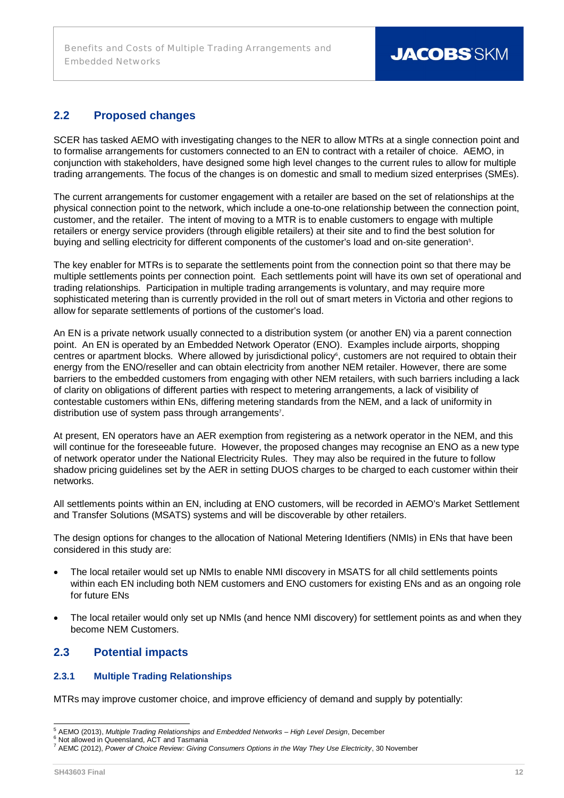# **2.2 Proposed changes**

SCER has tasked AEMO with investigating changes to the NER to allow MTRs at a single connection point and to formalise arrangements for customers connected to an EN to contract with a retailer of choice. AEMO, in conjunction with stakeholders, have designed some high level changes to the current rules to allow for multiple trading arrangements. The focus of the changes is on domestic and small to medium sized enterprises (SMEs).

The current arrangements for customer engagement with a retailer are based on the set of relationships at the physical connection point to the network, which include a one-to-one relationship between the connection point, customer, and the retailer. The intent of moving to a MTR is to enable customers to engage with multiple retailers or energy service providers (through eligible retailers) at their site and to find the best solution for buying and selling electricity for different components of the customer's load and on-site generation<sup>5</sup>.

The key enabler for MTRs is to separate the settlements point from the connection point so that there may be multiple settlements points per connection point. Each settlements point will have its own set of operational and trading relationships. Participation in multiple trading arrangements is voluntary, and may require more sophisticated metering than is currently provided in the roll out of smart meters in Victoria and other regions to allow for separate settlements of portions of the customer's load.

An EN is a private network usually connected to a distribution system (or another EN) via a parent connection point. An EN is operated by an Embedded Network Operator (ENO). Examples include airports, shopping centres or apartment blocks. Where allowed by jurisdictional policy<sup>6</sup>, customers are not required to obtain their energy from the ENO/reseller and can obtain electricity from another NEM retailer. However, there are some barriers to the embedded customers from engaging with other NEM retailers, with such barriers including a lack of clarity on obligations of different parties with respect to metering arrangements, a lack of visibility of contestable customers within ENs, differing metering standards from the NEM, and a lack of uniformity in distribution use of system pass through arrangements<sup>7</sup>.

At present, EN operators have an AER exemption from registering as a network operator in the NEM, and this will continue for the foreseeable future. However, the proposed changes may recognise an ENO as a new type of network operator under the National Electricity Rules. They may also be required in the future to follow shadow pricing guidelines set by the AER in setting DUOS charges to be charged to each customer within their networks.

All settlements points within an EN, including at ENO customers, will be recorded in AEMO's Market Settlement and Transfer Solutions (MSATS) systems and will be discoverable by other retailers.

The design options for changes to the allocation of National Metering Identifiers (NMIs) in ENs that have been considered in this study are:

- The local retailer would set up NMIs to enable NMI discovery in MSATS for all child settlements points within each EN including both NEM customers and ENO customers for existing ENs and as an ongoing role for future ENs
- The local retailer would only set up NMIs (and hence NMI discovery) for settlement points as and when they become NEM Customers.

# **2.3 Potential impacts**

#### **2.3.1 Multiple Trading Relationships**

MTRs may improve customer choice, and improve efficiency of demand and supply by potentially:

<sup>–&</sup>lt;br><sup>5</sup> AEMO (2013), *Multiple Trading Relationships and Embedded Networks – High Level Design, December<br><sup>6</sup> Net ellaured in Queensland, ACT and Teamesia* 

Not allowed in Queensland, ACT and Tasmania

<sup>&</sup>lt;sup>7</sup> AEMC (2012), Power of Choice Review: Giving Consumers Options in the Way They Use Electricity, 30 November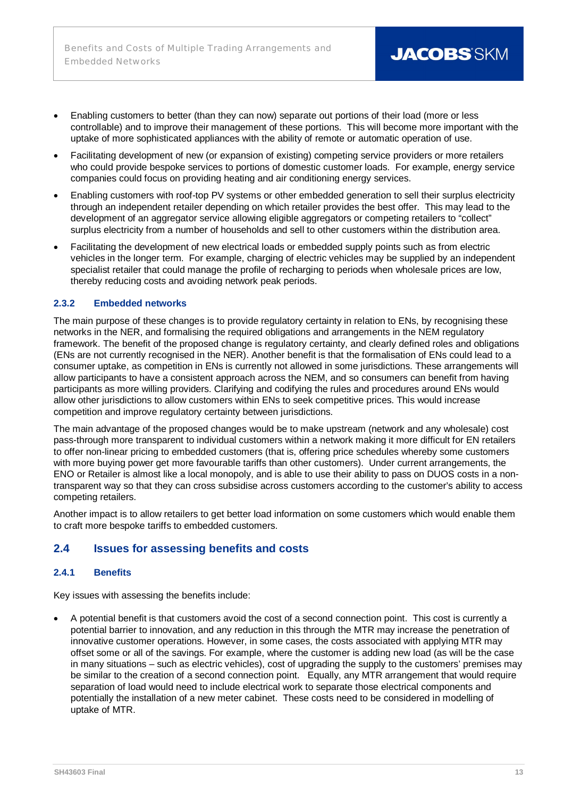- Enabling customers to better (than they can now) separate out portions of their load (more or less controllable) and to improve their management of these portions. This will become more important with the uptake of more sophisticated appliances with the ability of remote or automatic operation of use.
- Facilitating development of new (or expansion of existing) competing service providers or more retailers who could provide bespoke services to portions of domestic customer loads. For example, energy service companies could focus on providing heating and air conditioning energy services.
- Enabling customers with roof-top PV systems or other embedded generation to sell their surplus electricity through an independent retailer depending on which retailer provides the best offer. This may lead to the development of an aggregator service allowing eligible aggregators or competing retailers to "collect" surplus electricity from a number of households and sell to other customers within the distribution area.
- Facilitating the development of new electrical loads or embedded supply points such as from electric vehicles in the longer term. For example, charging of electric vehicles may be supplied by an independent specialist retailer that could manage the profile of recharging to periods when wholesale prices are low, thereby reducing costs and avoiding network peak periods.

#### **2.3.2 Embedded networks**

The main purpose of these changes is to provide regulatory certainty in relation to ENs, by recognising these networks in the NER, and formalising the required obligations and arrangements in the NEM regulatory framework. The benefit of the proposed change is regulatory certainty, and clearly defined roles and obligations (ENs are not currently recognised in the NER). Another benefit is that the formalisation of ENs could lead to a consumer uptake, as competition in ENs is currently not allowed in some jurisdictions. These arrangements will allow participants to have a consistent approach across the NEM, and so consumers can benefit from having participants as more willing providers. Clarifying and codifying the rules and procedures around ENs would allow other jurisdictions to allow customers within ENs to seek competitive prices. This would increase competition and improve regulatory certainty between jurisdictions.

The main advantage of the proposed changes would be to make upstream (network and any wholesale) cost pass-through more transparent to individual customers within a network making it more difficult for EN retailers to offer non-linear pricing to embedded customers (that is, offering price schedules whereby some customers with more buying power get more favourable tariffs than other customers). Under current arrangements, the ENO or Retailer is almost like a local monopoly, and is able to use their ability to pass on DUOS costs in a nontransparent way so that they can cross subsidise across customers according to the customer's ability to access competing retailers.

Another impact is to allow retailers to get better load information on some customers which would enable them to craft more bespoke tariffs to embedded customers.

# **2.4 Issues for assessing benefits and costs**

#### **2.4.1 Benefits**

Key issues with assessing the benefits include:

A potential benefit is that customers avoid the cost of a second connection point. This cost is currently a potential barrier to innovation, and any reduction in this through the MTR may increase the penetration of innovative customer operations. However, in some cases, the costs associated with applying MTR may offset some or all of the savings. For example, where the customer is adding new load (as will be the case in many situations – such as electric vehicles), cost of upgrading the supply to the customers' premises may be similar to the creation of a second connection point. Equally, any MTR arrangement that would require separation of load would need to include electrical work to separate those electrical components and potentially the installation of a new meter cabinet. These costs need to be considered in modelling of uptake of MTR.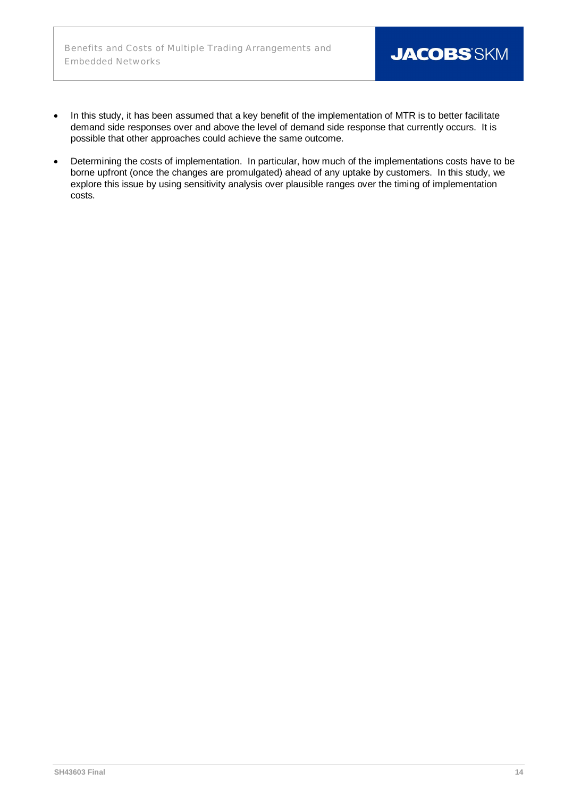- In this study, it has been assumed that a key benefit of the implementation of MTR is to better facilitate demand side responses over and above the level of demand side response that currently occurs. It is possible that other approaches could achieve the same outcome.
- Determining the costs of implementation. In particular, how much of the implementations costs have to be borne upfront (once the changes are promulgated) ahead of any uptake by customers. In this study, we explore this issue by using sensitivity analysis over plausible ranges over the timing of implementation costs.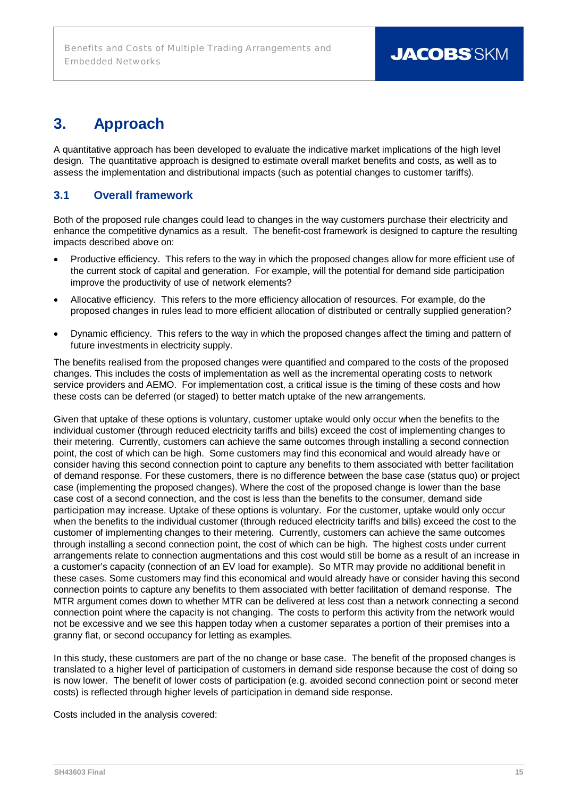# **3. Approach**

A quantitative approach has been developed to evaluate the indicative market implications of the high level design. The quantitative approach is designed to estimate overall market benefits and costs, as well as to assess the implementation and distributional impacts (such as potential changes to customer tariffs).

# **3.1 Overall framework**

Both of the proposed rule changes could lead to changes in the way customers purchase their electricity and enhance the competitive dynamics as a result. The benefit-cost framework is designed to capture the resulting impacts described above on:

- Productive efficiency. This refers to the way in which the proposed changes allow for more efficient use of the current stock of capital and generation. For example, will the potential for demand side participation improve the productivity of use of network elements?
- Allocative efficiency. This refers to the more efficiency allocation of resources. For example, do the proposed changes in rules lead to more efficient allocation of distributed or centrally supplied generation?
- Dynamic efficiency. This refers to the way in which the proposed changes affect the timing and pattern of future investments in electricity supply.

The benefits realised from the proposed changes were quantified and compared to the costs of the proposed changes. This includes the costs of implementation as well as the incremental operating costs to network service providers and AEMO. For implementation cost, a critical issue is the timing of these costs and how these costs can be deferred (or staged) to better match uptake of the new arrangements.

Given that uptake of these options is voluntary, customer uptake would only occur when the benefits to the individual customer (through reduced electricity tariffs and bills) exceed the cost of implementing changes to their metering. Currently, customers can achieve the same outcomes through installing a second connection point, the cost of which can be high. Some customers may find this economical and would already have or consider having this second connection point to capture any benefits to them associated with better facilitation of demand response. For these customers, there is no difference between the base case (status quo) or project case (implementing the proposed changes). Where the cost of the proposed change is lower than the base case cost of a second connection, and the cost is less than the benefits to the consumer, demand side participation may increase. Uptake of these options is voluntary. For the customer, uptake would only occur when the benefits to the individual customer (through reduced electricity tariffs and bills) exceed the cost to the customer of implementing changes to their metering. Currently, customers can achieve the same outcomes through installing a second connection point, the cost of which can be high. The highest costs under current arrangements relate to connection augmentations and this cost would still be borne as a result of an increase in a customer's capacity (connection of an EV load for example). So MTR may provide no additional benefit in these cases. Some customers may find this economical and would already have or consider having this second connection points to capture any benefits to them associated with better facilitation of demand response. The MTR argument comes down to whether MTR can be delivered at less cost than a network connecting a second connection point where the capacity is not changing. The costs to perform this activity from the network would not be excessive and we see this happen today when a customer separates a portion of their premises into a granny flat, or second occupancy for letting as examples.

In this study, these customers are part of the no change or base case. The benefit of the proposed changes is translated to a higher level of participation of customers in demand side response because the cost of doing so is now lower. The benefit of lower costs of participation (e.g. avoided second connection point or second meter costs) is reflected through higher levels of participation in demand side response.

Costs included in the analysis covered: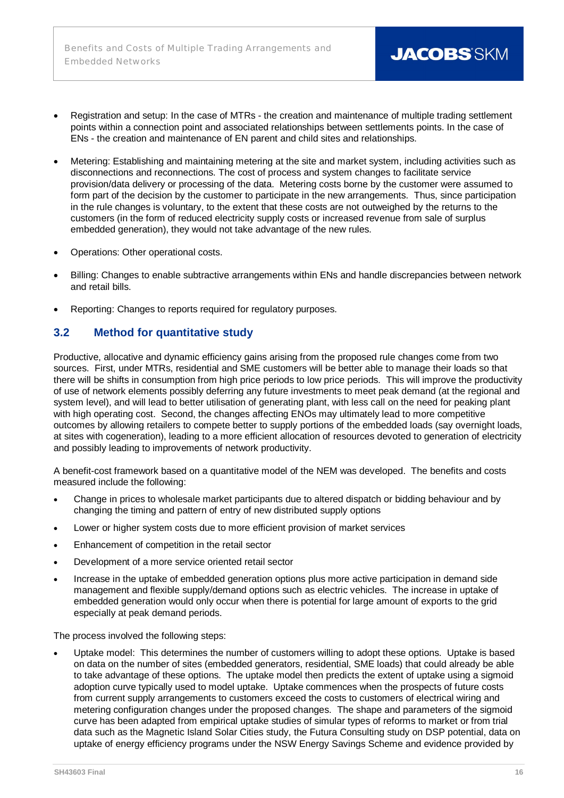- x Registration and setup: In the case of MTRs the creation and maintenance of multiple trading settlement points within a connection point and associated relationships between settlements points. In the case of ENs - the creation and maintenance of EN parent and child sites and relationships.
- Metering: Establishing and maintaining metering at the site and market system, including activities such as disconnections and reconnections. The cost of process and system changes to facilitate service provision/data delivery or processing of the data. Metering costs borne by the customer were assumed to form part of the decision by the customer to participate in the new arrangements. Thus, since participation in the rule changes is voluntary, to the extent that these costs are not outweighed by the returns to the customers (in the form of reduced electricity supply costs or increased revenue from sale of surplus embedded generation), they would not take advantage of the new rules.
- Operations: Other operational costs.
- Billing: Changes to enable subtractive arrangements within ENs and handle discrepancies between network and retail bills.
- Reporting: Changes to reports required for regulatory purposes.

### **3.2 Method for quantitative study**

Productive, allocative and dynamic efficiency gains arising from the proposed rule changes come from two sources. First, under MTRs, residential and SME customers will be better able to manage their loads so that there will be shifts in consumption from high price periods to low price periods. This will improve the productivity of use of network elements possibly deferring any future investments to meet peak demand (at the regional and system level), and will lead to better utilisation of generating plant, with less call on the need for peaking plant with high operating cost. Second, the changes affecting ENOs may ultimately lead to more competitive outcomes by allowing retailers to compete better to supply portions of the embedded loads (say overnight loads, at sites with cogeneration), leading to a more efficient allocation of resources devoted to generation of electricity and possibly leading to improvements of network productivity.

A benefit-cost framework based on a quantitative model of the NEM was developed. The benefits and costs measured include the following:

- Change in prices to wholesale market participants due to altered dispatch or bidding behaviour and by changing the timing and pattern of entry of new distributed supply options
- Lower or higher system costs due to more efficient provision of market services
- Enhancement of competition in the retail sector
- Development of a more service oriented retail sector
- Increase in the uptake of embedded generation options plus more active participation in demand side management and flexible supply/demand options such as electric vehicles. The increase in uptake of embedded generation would only occur when there is potential for large amount of exports to the grid especially at peak demand periods.

The process involved the following steps:

Uptake model: This determines the number of customers willing to adopt these options. Uptake is based on data on the number of sites (embedded generators, residential, SME loads) that could already be able to take advantage of these options. The uptake model then predicts the extent of uptake using a sigmoid adoption curve typically used to model uptake. Uptake commences when the prospects of future costs from current supply arrangements to customers exceed the costs to customers of electrical wiring and metering configuration changes under the proposed changes. The shape and parameters of the sigmoid curve has been adapted from empirical uptake studies of simular types of reforms to market or from trial data such as the Magnetic Island Solar Cities study, the Futura Consulting study on DSP potential, data on uptake of energy efficiency programs under the NSW Energy Savings Scheme and evidence provided by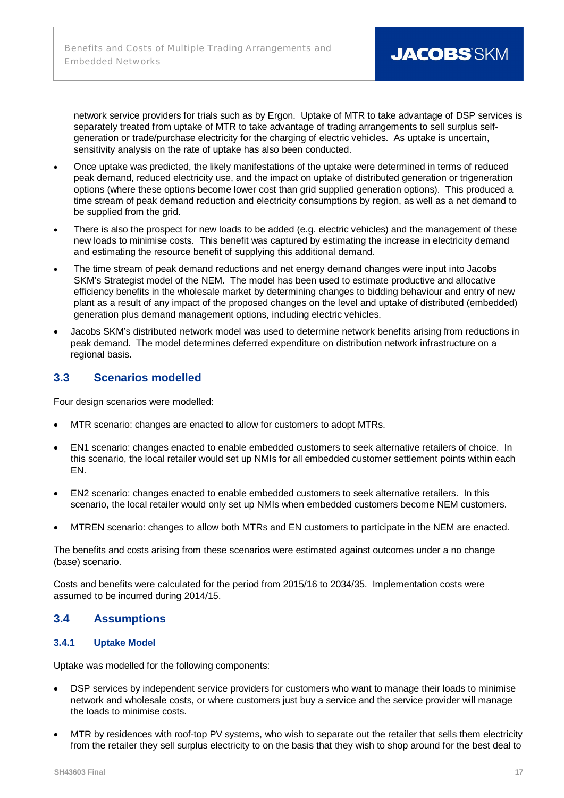network service providers for trials such as by Ergon. Uptake of MTR to take advantage of DSP services is separately treated from uptake of MTR to take advantage of trading arrangements to sell surplus selfgeneration or trade/purchase electricity for the charging of electric vehicles. As uptake is uncertain, sensitivity analysis on the rate of uptake has also been conducted.

- Once uptake was predicted, the likely manifestations of the uptake were determined in terms of reduced peak demand, reduced electricity use, and the impact on uptake of distributed generation or trigeneration options (where these options become lower cost than grid supplied generation options). This produced a time stream of peak demand reduction and electricity consumptions by region, as well as a net demand to be supplied from the grid.
- There is also the prospect for new loads to be added (e.g. electric vehicles) and the management of these new loads to minimise costs. This benefit was captured by estimating the increase in electricity demand and estimating the resource benefit of supplying this additional demand.
- The time stream of peak demand reductions and net energy demand changes were input into Jacobs SKM's Strategist model of the NEM. The model has been used to estimate productive and allocative efficiency benefits in the wholesale market by determining changes to bidding behaviour and entry of new plant as a result of any impact of the proposed changes on the level and uptake of distributed (embedded) generation plus demand management options, including electric vehicles.
- Jacobs SKM's distributed network model was used to determine network benefits arising from reductions in peak demand. The model determines deferred expenditure on distribution network infrastructure on a regional basis.

### **3.3 Scenarios modelled**

Four design scenarios were modelled:

- MTR scenario: changes are enacted to allow for customers to adopt MTRs.
- EN1 scenario: changes enacted to enable embedded customers to seek alternative retailers of choice. In this scenario, the local retailer would set up NMIs for all embedded customer settlement points within each EN.
- EN2 scenario: changes enacted to enable embedded customers to seek alternative retailers. In this scenario, the local retailer would only set up NMIs when embedded customers become NEM customers.
- MTREN scenario: changes to allow both MTRs and EN customers to participate in the NEM are enacted.

The benefits and costs arising from these scenarios were estimated against outcomes under a no change (base) scenario.

Costs and benefits were calculated for the period from 2015/16 to 2034/35. Implementation costs were assumed to be incurred during 2014/15.

# **3.4 Assumptions**

#### **3.4.1 Uptake Model**

Uptake was modelled for the following components:

- DSP services by independent service providers for customers who want to manage their loads to minimise network and wholesale costs, or where customers just buy a service and the service provider will manage the loads to minimise costs.
- MTR by residences with roof-top PV systems, who wish to separate out the retailer that sells them electricity from the retailer they sell surplus electricity to on the basis that they wish to shop around for the best deal to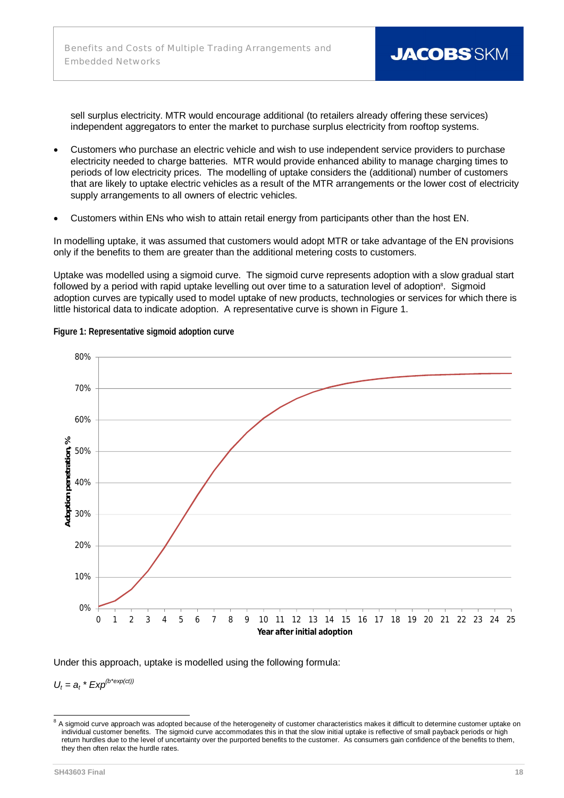sell surplus electricity. MTR would encourage additional (to retailers already offering these services) independent aggregators to enter the market to purchase surplus electricity from rooftop systems.

- Customers who purchase an electric vehicle and wish to use independent service providers to purchase electricity needed to charge batteries. MTR would provide enhanced ability to manage charging times to periods of low electricity prices. The modelling of uptake considers the (additional) number of customers that are likely to uptake electric vehicles as a result of the MTR arrangements or the lower cost of electricity supply arrangements to all owners of electric vehicles.
- Customers within ENs who wish to attain retail energy from participants other than the host EN.

In modelling uptake, it was assumed that customers would adopt MTR or take advantage of the EN provisions only if the benefits to them are greater than the additional metering costs to customers.

Uptake was modelled using a sigmoid curve. The sigmoid curve represents adoption with a slow gradual start followed by a period with rapid uptake levelling out over time to a saturation level of adoption<sup>8</sup>. Sigmoid adoption curves are typically used to model uptake of new products, technologies or services for which there is little historical data to indicate adoption. A representative curve is shown in Figure 1.



**Figure 1: Representative sigmoid adoption curve** 

Under this approach, uptake is modelled using the following formula:

 $U_t = a_t * Exp(b * exp(ct))$ 

 8 A sigmoid curve approach was adopted because of the heterogeneity of customer characteristics makes it difficult to determine customer uptake on individual customer benefits. The sigmoid curve accommodates this in that the slow initial uptake is reflective of small payback periods or high return hurdles due to the level of uncertainty over the purported benefits to the customer. As consumers gain confidence of the benefits to them, they then often relax the hurdle rates.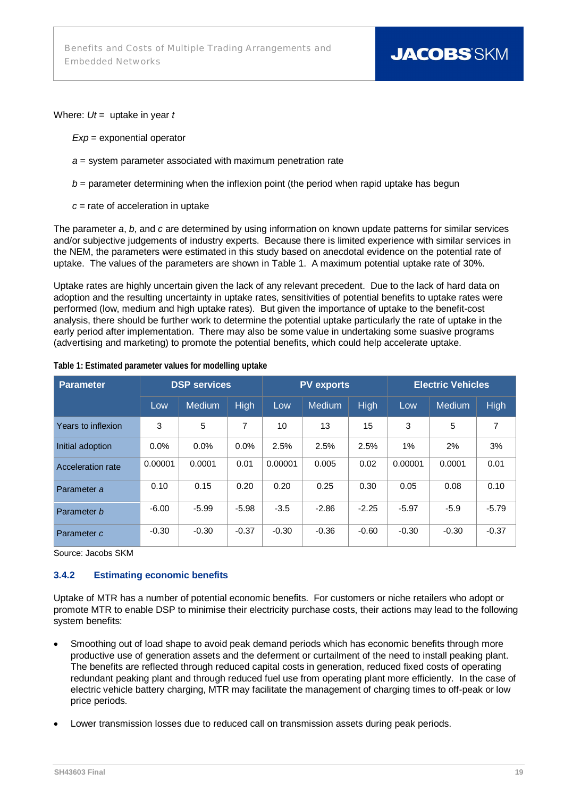Where:  $Ut =$  uptake in year *t* 

*Exp* = exponential operator

- *a* = system parameter associated with maximum penetration rate
- $b =$  parameter determining when the inflexion point (the period when rapid uptake has begun
- *c* = rate of acceleration in uptake

The parameter *a*, *b*, and *c* are determined by using information on known update patterns for similar services and/or subjective judgements of industry experts. Because there is limited experience with similar services in the NEM, the parameters were estimated in this study based on anecdotal evidence on the potential rate of uptake. The values of the parameters are shown in Table 1. A maximum potential uptake rate of 30%.

Uptake rates are highly uncertain given the lack of any relevant precedent. Due to the lack of hard data on adoption and the resulting uncertainty in uptake rates, sensitivities of potential benefits to uptake rates were performed (low, medium and high uptake rates). But given the importance of uptake to the benefit-cost analysis, there should be further work to determine the potential uptake particularly the rate of uptake in the early period after implementation. There may also be some value in undertaking some suasive programs (advertising and marketing) to promote the potential benefits, which could help accelerate uptake.

| <b>Parameter</b>   | <b>DSP</b> services |         |             | <b>PV exports</b> |         |             | <b>Electric Vehicles</b> |               |             |
|--------------------|---------------------|---------|-------------|-------------------|---------|-------------|--------------------------|---------------|-------------|
|                    | Low                 | Medium  | <b>High</b> | Low               | Medium  | <b>High</b> | Low                      | <b>Medium</b> | <b>High</b> |
| Years to inflexion | 3                   | 5       | 7           | 10                | 13      | 15          | 3                        | 5             | 7           |
| Initial adoption   | 0.0%                | $0.0\%$ | $0.0\%$     | 2.5%              | 2.5%    | 2.5%        | $1\%$                    | 2%            | 3%          |
| Acceleration rate  | 0.00001             | 0.0001  | 0.01        | 0.00001           | 0.005   | 0.02        | 0.00001                  | 0.0001        | 0.01        |
| Parameter a        | 0.10                | 0.15    | 0.20        | 0.20              | 0.25    | 0.30        | 0.05                     | 0.08          | 0.10        |
| Parameter b        | $-6.00$             | $-5.99$ | $-5.98$     | $-3.5$            | $-2.86$ | $-2.25$     | $-5.97$                  | $-5.9$        | $-5.79$     |
| Parameter c        | $-0.30$             | $-0.30$ | $-0.37$     | $-0.30$           | $-0.36$ | $-0.60$     | $-0.30$                  | $-0.30$       | $-0.37$     |

**Table 1: Estimated parameter values for modelling uptake** 

Source: Jacobs SKM

#### **3.4.2 Estimating economic benefits**

Uptake of MTR has a number of potential economic benefits. For customers or niche retailers who adopt or promote MTR to enable DSP to minimise their electricity purchase costs, their actions may lead to the following system benefits:

- Smoothing out of load shape to avoid peak demand periods which has economic benefits through more productive use of generation assets and the deferment or curtailment of the need to install peaking plant. The benefits are reflected through reduced capital costs in generation, reduced fixed costs of operating redundant peaking plant and through reduced fuel use from operating plant more efficiently. In the case of electric vehicle battery charging, MTR may facilitate the management of charging times to off-peak or low price periods.
- Lower transmission losses due to reduced call on transmission assets during peak periods.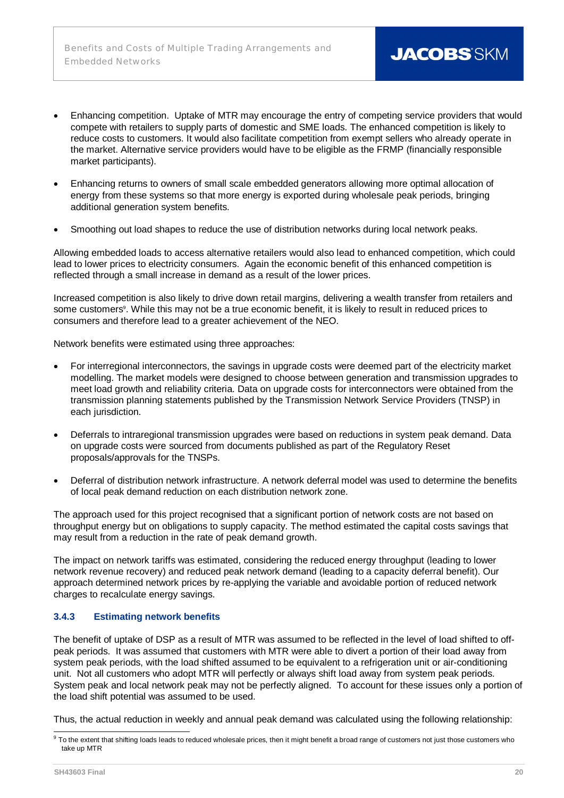- Enhancing competition. Uptake of MTR may encourage the entry of competing service providers that would compete with retailers to supply parts of domestic and SME loads. The enhanced competition is likely to reduce costs to customers. It would also facilitate competition from exempt sellers who already operate in the market. Alternative service providers would have to be eligible as the FRMP (financially responsible market participants).
- x Enhancing returns to owners of small scale embedded generators allowing more optimal allocation of energy from these systems so that more energy is exported during wholesale peak periods, bringing additional generation system benefits.
- Smoothing out load shapes to reduce the use of distribution networks during local network peaks.

Allowing embedded loads to access alternative retailers would also lead to enhanced competition, which could lead to lower prices to electricity consumers. Again the economic benefit of this enhanced competition is reflected through a small increase in demand as a result of the lower prices.

Increased competition is also likely to drive down retail margins, delivering a wealth transfer from retailers and some customers<sup>9</sup>. While this may not be a true economic benefit, it is likely to result in reduced prices to consumers and therefore lead to a greater achievement of the NEO.

Network benefits were estimated using three approaches:

- For interregional interconnectors, the savings in upgrade costs were deemed part of the electricity market modelling. The market models were designed to choose between generation and transmission upgrades to meet load growth and reliability criteria. Data on upgrade costs for interconnectors were obtained from the transmission planning statements published by the Transmission Network Service Providers (TNSP) in each jurisdiction.
- Deferrals to intraregional transmission upgrades were based on reductions in system peak demand. Data on upgrade costs were sourced from documents published as part of the Regulatory Reset proposals/approvals for the TNSPs.
- Deferral of distribution network infrastructure. A network deferral model was used to determine the benefits of local peak demand reduction on each distribution network zone.

The approach used for this project recognised that a significant portion of network costs are not based on throughput energy but on obligations to supply capacity. The method estimated the capital costs savings that may result from a reduction in the rate of peak demand growth.

The impact on network tariffs was estimated, considering the reduced energy throughput (leading to lower network revenue recovery) and reduced peak network demand (leading to a capacity deferral benefit). Our approach determined network prices by re-applying the variable and avoidable portion of reduced network charges to recalculate energy savings.

#### **3.4.3 Estimating network benefits**

The benefit of uptake of DSP as a result of MTR was assumed to be reflected in the level of load shifted to offpeak periods. It was assumed that customers with MTR were able to divert a portion of their load away from system peak periods, with the load shifted assumed to be equivalent to a refrigeration unit or air-conditioning unit. Not all customers who adopt MTR will perfectly or always shift load away from system peak periods. System peak and local network peak may not be perfectly aligned. To account for these issues only a portion of the load shift potential was assumed to be used.

Thus, the actual reduction in weekly and annual peak demand was calculated using the following relationship:

 $\overline{a}$ 9 To the extent that shifting loads leads to reduced wholesale prices, then it might benefit a broad range of customers not just those customers who take up MTR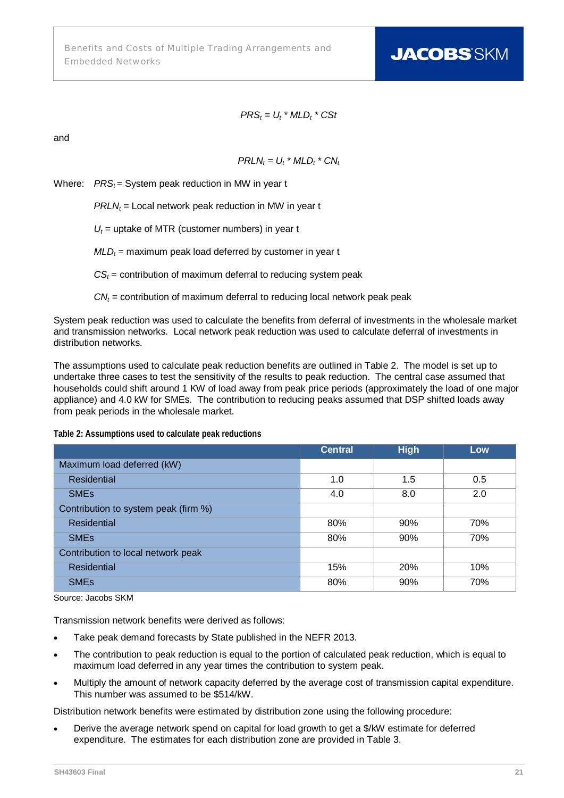

#### $PRS_t = U_t * MLD_t * CSt$

and

$$
PRLN_t = U_t * MLD_t * CN_t
$$

Where: *PRS<sub>t</sub>* = System peak reduction in MW in year t

*PRLN<sup>t</sup>* = Local network peak reduction in MW in year t

 $U_t$  = uptake of MTR (customer numbers) in year t

*MLD<sup>t</sup>* = maximum peak load deferred by customer in year t

 $CS<sub>t</sub>$  = contribution of maximum deferral to reducing system peak

*CN<sup>t</sup>* = contribution of maximum deferral to reducing local network peak peak

System peak reduction was used to calculate the benefits from deferral of investments in the wholesale market and transmission networks. Local network peak reduction was used to calculate deferral of investments in distribution networks.

The assumptions used to calculate peak reduction benefits are outlined in Table 2. The model is set up to undertake three cases to test the sensitivity of the results to peak reduction. The central case assumed that households could shift around 1 KW of load away from peak price periods (approximately the load of one major appliance) and 4.0 kW for SMEs. The contribution to reducing peaks assumed that DSP shifted loads away from peak periods in the wholesale market.

| Table 2: Assumptions used to calculate peak reductions |  |  |
|--------------------------------------------------------|--|--|
|--------------------------------------------------------|--|--|

|                                      | <b>Central</b> | <b>High</b> | Low |
|--------------------------------------|----------------|-------------|-----|
| Maximum load deferred (kW)           |                |             |     |
| Residential                          | 1.0            | 1.5         | 0.5 |
| <b>SME<sub>s</sub></b>               | 4.0            | 8.0         | 2.0 |
| Contribution to system peak (firm %) |                |             |     |
| <b>Residential</b>                   | 80%            | 90%         | 70% |
| <b>SME<sub>s</sub></b>               | 80%            | 90%         | 70% |
| Contribution to local network peak   |                |             |     |
| <b>Residential</b>                   | 15%            | 20%         | 10% |
| <b>SME<sub>s</sub></b>               | 80%            | 90%         | 70% |

Source: Jacobs SKM

Transmission network benefits were derived as follows:

- Take peak demand forecasts by State published in the NEFR 2013.
- The contribution to peak reduction is equal to the portion of calculated peak reduction, which is equal to maximum load deferred in any year times the contribution to system peak.
- Multiply the amount of network capacity deferred by the average cost of transmission capital expenditure. This number was assumed to be \$514/kW.

Distribution network benefits were estimated by distribution zone using the following procedure:

Derive the average network spend on capital for load growth to get a \$/kW estimate for deferred expenditure. The estimates for each distribution zone are provided in Table 3.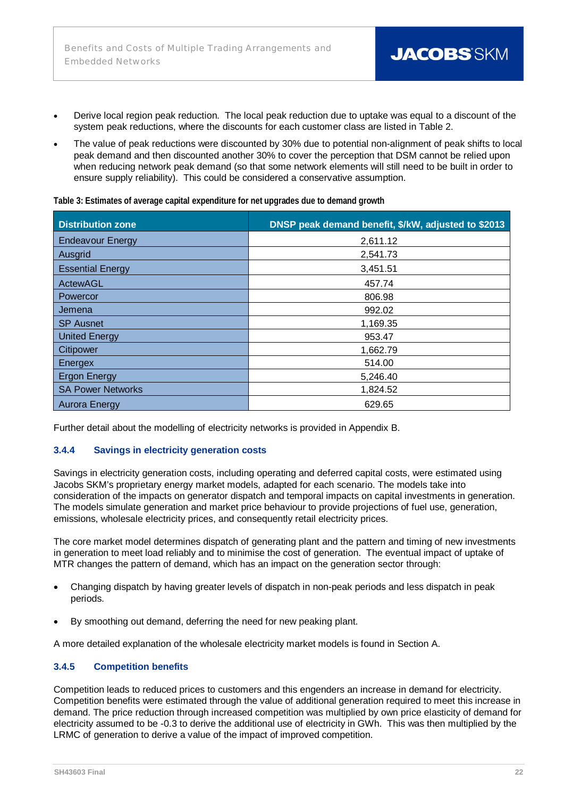- Derive local region peak reduction. The local peak reduction due to uptake was equal to a discount of the system peak reductions, where the discounts for each customer class are listed in Table 2.
- The value of peak reductions were discounted by 30% due to potential non-alignment of peak shifts to local peak demand and then discounted another 30% to cover the perception that DSM cannot be relied upon when reducing network peak demand (so that some network elements will still need to be built in order to ensure supply reliability). This could be considered a conservative assumption.

| <b>Distribution zone</b> | DNSP peak demand benefit, \$/kW, adjusted to \$2013 |
|--------------------------|-----------------------------------------------------|
| <b>Endeavour Energy</b>  | 2,611.12                                            |
| Ausgrid                  | 2,541.73                                            |
| <b>Essential Energy</b>  | 3,451.51                                            |
| ActewAGL                 | 457.74                                              |
| Powercor                 | 806.98                                              |
| Jemena                   | 992.02                                              |
| <b>SP</b> Ausnet         | 1,169.35                                            |
| <b>United Energy</b>     | 953.47                                              |
| Citipower                | 1,662.79                                            |
| Energex                  | 514.00                                              |
| <b>Ergon Energy</b>      | 5,246.40                                            |
| <b>SA Power Networks</b> | 1,824.52                                            |
| <b>Aurora Energy</b>     | 629.65                                              |

**Table 3: Estimates of average capital expenditure for net upgrades due to demand growth** 

Further detail about the modelling of electricity networks is provided in Appendix B.

#### **3.4.4 Savings in electricity generation costs**

Savings in electricity generation costs, including operating and deferred capital costs, were estimated using Jacobs SKM's proprietary energy market models, adapted for each scenario. The models take into consideration of the impacts on generator dispatch and temporal impacts on capital investments in generation. The models simulate generation and market price behaviour to provide projections of fuel use, generation, emissions, wholesale electricity prices, and consequently retail electricity prices.

The core market model determines dispatch of generating plant and the pattern and timing of new investments in generation to meet load reliably and to minimise the cost of generation. The eventual impact of uptake of MTR changes the pattern of demand, which has an impact on the generation sector through:

- Changing dispatch by having greater levels of dispatch in non-peak periods and less dispatch in peak periods.
- By smoothing out demand, deferring the need for new peaking plant.

A more detailed explanation of the wholesale electricity market models is found in Section A.

#### **3.4.5 Competition benefits**

Competition leads to reduced prices to customers and this engenders an increase in demand for electricity. Competition benefits were estimated through the value of additional generation required to meet this increase in demand. The price reduction through increased competition was multiplied by own price elasticity of demand for electricity assumed to be -0.3 to derive the additional use of electricity in GWh. This was then multiplied by the LRMC of generation to derive a value of the impact of improved competition.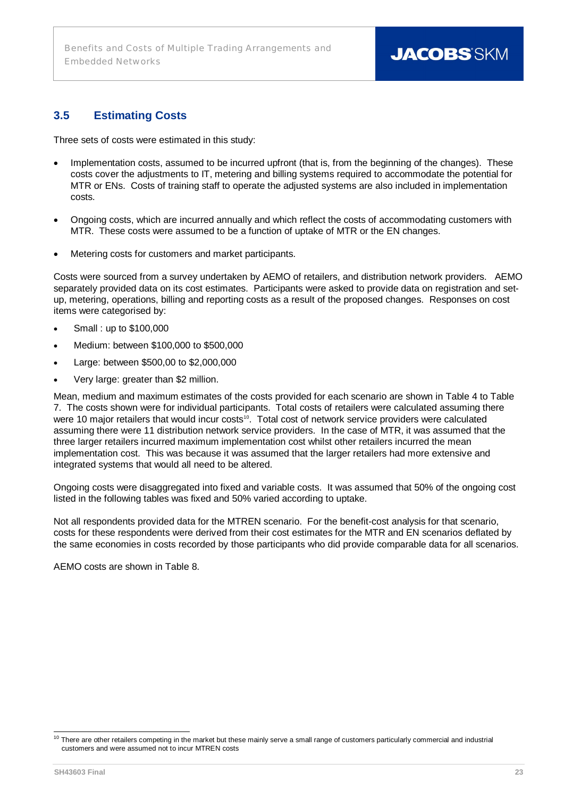# **3.5 Estimating Costs**

Three sets of costs were estimated in this study:

- Implementation costs, assumed to be incurred upfront (that is, from the beginning of the changes). These costs cover the adjustments to IT, metering and billing systems required to accommodate the potential for MTR or ENs. Costs of training staff to operate the adjusted systems are also included in implementation costs.
- Ongoing costs, which are incurred annually and which reflect the costs of accommodating customers with MTR. These costs were assumed to be a function of uptake of MTR or the EN changes.
- Metering costs for customers and market participants.

Costs were sourced from a survey undertaken by AEMO of retailers, and distribution network providers. AEMO separately provided data on its cost estimates. Participants were asked to provide data on registration and setup, metering, operations, billing and reporting costs as a result of the proposed changes. Responses on cost items were categorised by:

- $\bullet$  Small : up to \$100,000
- x Medium: between \$100,000 to \$500,000
- Large: between \$500,00 to \$2,000,000
- Very large: greater than \$2 million.

Mean, medium and maximum estimates of the costs provided for each scenario are shown in Table 4 to Table 7. The costs shown were for individual participants. Total costs of retailers were calculated assuming there were 10 major retailers that would incur costs<sup>10</sup>. Total cost of network service providers were calculated assuming there were 11 distribution network service providers. In the case of MTR, it was assumed that the three larger retailers incurred maximum implementation cost whilst other retailers incurred the mean implementation cost. This was because it was assumed that the larger retailers had more extensive and integrated systems that would all need to be altered.

Ongoing costs were disaggregated into fixed and variable costs. It was assumed that 50% of the ongoing cost listed in the following tables was fixed and 50% varied according to uptake.

Not all respondents provided data for the MTREN scenario. For the benefit-cost analysis for that scenario, costs for these respondents were derived from their cost estimates for the MTR and EN scenarios deflated by the same economies in costs recorded by those participants who did provide comparable data for all scenarios.

AEMO costs are shown in Table 8.

 $\overline{1}$  $10$  There are other retailers competing in the market but these mainly serve a small range of customers particularly commercial and industrial customers and were assumed not to incur MTREN costs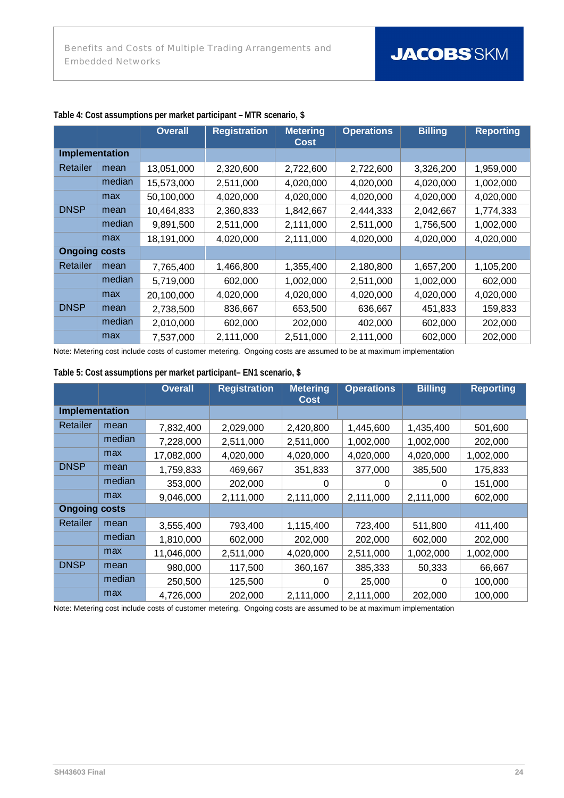|                      |        | <b>Overall</b> | <b>Registration</b> | <b>Metering</b><br>Cost | <b>Operations</b> | <b>Billing</b> | <b>Reporting</b> |
|----------------------|--------|----------------|---------------------|-------------------------|-------------------|----------------|------------------|
| Implementation       |        |                |                     |                         |                   |                |                  |
| Retailer             | mean   | 13,051,000     | 2,320,600           | 2,722,600               | 2,722,600         | 3,326,200      | 1,959,000        |
|                      | median | 15,573,000     | 2,511,000           | 4,020,000               | 4,020,000         | 4,020,000      | 1,002,000        |
|                      | max    | 50,100,000     | 4,020,000           | 4,020,000               | 4,020,000         | 4,020,000      | 4,020,000        |
| <b>DNSP</b>          | mean   | 10,464,833     | 2,360,833           | 1,842,667               | 2,444,333         | 2,042,667      | 1,774,333        |
|                      | median | 9,891,500      | 2,511,000           | 2,111,000               | 2,511,000         | 1,756,500      | 1,002,000        |
|                      | max    | 18,191,000     | 4,020,000           | 2,111,000               | 4,020,000         | 4,020,000      | 4,020,000        |
| <b>Ongoing costs</b> |        |                |                     |                         |                   |                |                  |
| Retailer             | mean   | 7,765,400      | 1,466,800           | 1,355,400               | 2,180,800         | 1,657,200      | 1,105,200        |
|                      | median | 5,719,000      | 602,000             | 1,002,000               | 2,511,000         | 1,002,000      | 602,000          |
|                      | max    | 20,100,000     | 4,020,000           | 4,020,000               | 4,020,000         | 4,020,000      | 4,020,000        |
| <b>DNSP</b>          | mean   | 2,738,500      | 836,667             | 653,500                 | 636,667           | 451,833        | 159,833          |
|                      | median | 2,010,000      | 602,000             | 202,000                 | 402,000           | 602,000        | 202,000          |
|                      | max    | 7,537,000      | 2,111,000           | 2,511,000               | 2,111,000         | 602,000        | 202,000          |

#### **Table 4: Cost assumptions per market participant – MTR scenario, \$**

Note: Metering cost include costs of customer metering. Ongoing costs are assumed to be at maximum implementation

#### **Table 5: Cost assumptions per market participant– EN1 scenario, \$**

|                      |        | <b>Overall</b> | <b>Registration</b> | <b>Metering</b><br><b>Cost</b> | <b>Operations</b> | <b>Billing</b> | <b>Reporting</b> |
|----------------------|--------|----------------|---------------------|--------------------------------|-------------------|----------------|------------------|
| Implementation       |        |                |                     |                                |                   |                |                  |
| Retailer             | mean   | 7,832,400      | 2,029,000           | 2,420,800                      | 1,445,600         | 1,435,400      | 501,600          |
|                      | median | 7,228,000      | 2,511,000           | 2,511,000                      | 1,002,000         | 1,002,000      | 202,000          |
|                      | max    | 17,082,000     | 4,020,000           | 4,020,000                      | 4,020,000         | 4,020,000      | 1,002,000        |
| <b>DNSP</b>          | mean   | 1,759,833      | 469,667             | 351,833                        | 377,000           | 385,500        | 175,833          |
|                      | median | 353,000        | 202,000             | 0                              | 0                 | 0              | 151,000          |
|                      | max    | 9,046,000      | 2,111,000           | 2,111,000                      | 2,111,000         | 2,111,000      | 602,000          |
| <b>Ongoing costs</b> |        |                |                     |                                |                   |                |                  |
| Retailer             | mean   | 3,555,400      | 793,400             | 1,115,400                      | 723,400           | 511,800        | 411,400          |
|                      | median | 1,810,000      | 602,000             | 202,000                        | 202,000           | 602,000        | 202,000          |
|                      | max    | 11,046,000     | 2,511,000           | 4,020,000                      | 2,511,000         | 1,002,000      | 1,002,000        |
| <b>DNSP</b>          | mean   | 980,000        | 117,500             | 360,167                        | 385,333           | 50,333         | 66,667           |
|                      | median | 250,500        | 125,500             | $\Omega$                       | 25,000            | 0              | 100,000          |
|                      | max    | 4,726,000      | 202,000             | 2,111,000                      | 2,111,000         | 202,000        | 100,000          |

Note: Metering cost include costs of customer metering. Ongoing costs are assumed to be at maximum implementation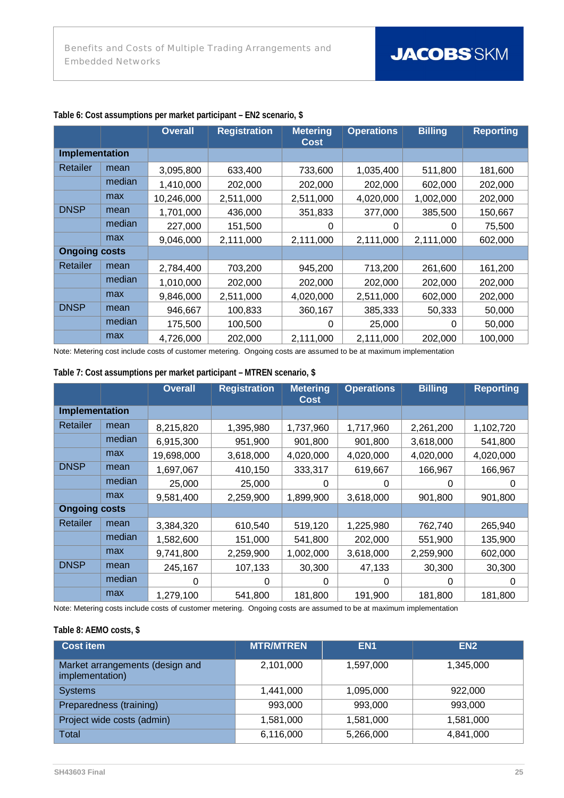|                      |        | <b>Overall</b> | <b>Registration</b> | <b>Metering</b><br><b>Cost</b> | <b>Operations</b> | <b>Billing</b> | <b>Reporting</b> |
|----------------------|--------|----------------|---------------------|--------------------------------|-------------------|----------------|------------------|
| Implementation       |        |                |                     |                                |                   |                |                  |
| Retailer             | mean   | 3,095,800      | 633,400             | 733,600                        | 1,035,400         | 511,800        | 181,600          |
|                      | median | 1,410,000      | 202,000             | 202,000                        | 202,000           | 602,000        | 202,000          |
|                      | max    | 10,246,000     | 2,511,000           | 2,511,000                      | 4,020,000         | 1,002,000      | 202,000          |
| <b>DNSP</b>          | mean   | 1,701,000      | 436,000             | 351,833                        | 377,000           | 385,500        | 150,667          |
|                      | median | 227,000        | 151,500             | 0                              | 0                 | 0              | 75,500           |
|                      | max    | 9,046,000      | 2,111,000           | 2,111,000                      | 2,111,000         | 2,111,000      | 602,000          |
| <b>Ongoing costs</b> |        |                |                     |                                |                   |                |                  |
| Retailer             | mean   | 2,784,400      | 703,200             | 945,200                        | 713,200           | 261,600        | 161,200          |
|                      | median | 1,010,000      | 202,000             | 202,000                        | 202,000           | 202,000        | 202,000          |
|                      | max    | 9,846,000      | 2,511,000           | 4,020,000                      | 2,511,000         | 602,000        | 202,000          |
| <b>DNSP</b>          | mean   | 946,667        | 100,833             | 360,167                        | 385,333           | 50,333         | 50,000           |
|                      | median | 175,500        | 100,500             | 0                              | 25,000            | 0              | 50,000           |
|                      | max    | 4,726,000      | 202,000             | 2,111,000                      | 2,111,000         | 202,000        | 100,000          |

#### **Table 6: Cost assumptions per market participant – EN2 scenario, \$**

Note: Metering cost include costs of customer metering. Ongoing costs are assumed to be at maximum implementation

|  |  | Table 7: Cost assumptions per market participant – MTREN scenario, \$ |  |  |  |  |
|--|--|-----------------------------------------------------------------------|--|--|--|--|
|--|--|-----------------------------------------------------------------------|--|--|--|--|

|                      |        | <b>Overall</b> | <b>Registration</b> | <b>Metering</b><br><b>Cost</b> | <b>Operations</b> | <b>Billing</b> | <b>Reporting</b> |
|----------------------|--------|----------------|---------------------|--------------------------------|-------------------|----------------|------------------|
| Implementation       |        |                |                     |                                |                   |                |                  |
| Retailer             | mean   | 8,215,820      | 1,395,980           | 1,737,960                      | 1,717,960         | 2,261,200      | 1,102,720        |
|                      | median | 6,915,300      | 951,900             | 901,800                        | 901,800           | 3,618,000      | 541,800          |
|                      | max    | 19,698,000     | 3,618,000           | 4,020,000                      | 4,020,000         | 4,020,000      | 4,020,000        |
| <b>DNSP</b>          | mean   | 1,697,067      | 410,150             | 333,317                        | 619,667           | 166,967        | 166,967          |
|                      | median | 25,000         | 25,000              | 0                              | 0                 | $\Omega$       | 0                |
|                      | max    | 9,581,400      | 2,259,900           | 1,899,900                      | 3,618,000         | 901,800        | 901,800          |
| <b>Ongoing costs</b> |        |                |                     |                                |                   |                |                  |
| Retailer             | mean   | 3,384,320      | 610,540             | 519,120                        | 1,225,980         | 762,740        | 265,940          |
|                      | median | 1,582,600      | 151,000             | 541,800                        | 202,000           | 551,900        | 135,900          |
|                      | max    | 9,741,800      | 2,259,900           | 1,002,000                      | 3,618,000         | 2,259,900      | 602,000          |
| <b>DNSP</b>          | mean   | 245,167        | 107,133             | 30,300                         | 47,133            | 30,300         | 30,300           |
|                      | median | 0              | 0                   | 0                              | 0                 | $\Omega$       | 0                |
|                      | max    | 1,279,100      | 541,800             | 181,800                        | 191,900           | 181,800        | 181,800          |

Note: Metering costs include costs of customer metering. Ongoing costs are assumed to be at maximum implementation

#### **Table 8: AEMO costs, \$**

| <b>Cost item</b>                                   | <b>MTR/MTREN</b> | EN <sub>1</sub> | EN <sub>2</sub> |
|----------------------------------------------------|------------------|-----------------|-----------------|
| Market arrangements (design and<br>implementation) | 2,101,000        | 1,597,000       | 1,345,000       |
| <b>Systems</b>                                     | 1,441,000        | 1,095,000       | 922,000         |
| Preparedness (training)                            | 993,000          | 993,000         | 993,000         |
| Project wide costs (admin)                         | 1,581,000        | 1,581,000       | 1,581,000       |
| <b>Total</b>                                       | 6,116,000        | 5,266,000       | 4,841,000       |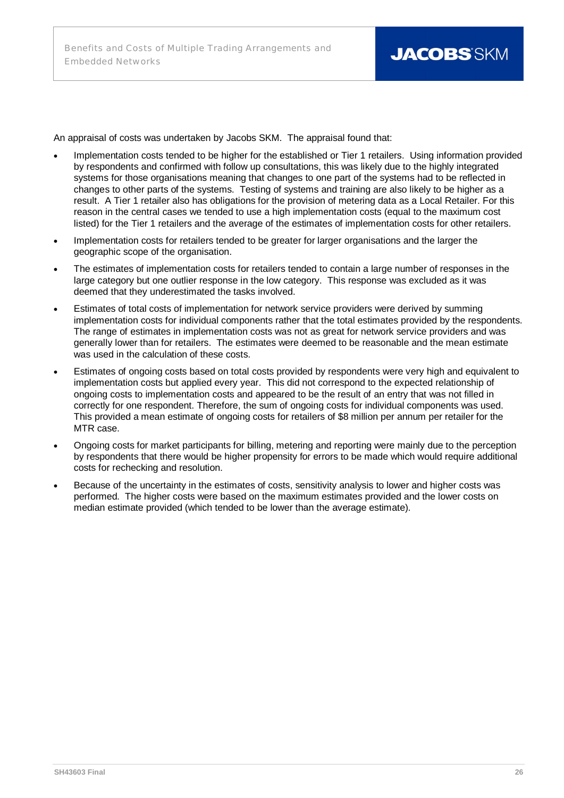An appraisal of costs was undertaken by Jacobs SKM. The appraisal found that:

- Implementation costs tended to be higher for the established or Tier 1 retailers. Using information provided by respondents and confirmed with follow up consultations, this was likely due to the highly integrated systems for those organisations meaning that changes to one part of the systems had to be reflected in changes to other parts of the systems. Testing of systems and training are also likely to be higher as a result. A Tier 1 retailer also has obligations for the provision of metering data as a Local Retailer. For this reason in the central cases we tended to use a high implementation costs (equal to the maximum cost listed) for the Tier 1 retailers and the average of the estimates of implementation costs for other retailers.
- Implementation costs for retailers tended to be greater for larger organisations and the larger the geographic scope of the organisation.
- The estimates of implementation costs for retailers tended to contain a large number of responses in the large category but one outlier response in the low category. This response was excluded as it was deemed that they underestimated the tasks involved.
- Estimates of total costs of implementation for network service providers were derived by summing implementation costs for individual components rather that the total estimates provided by the respondents. The range of estimates in implementation costs was not as great for network service providers and was generally lower than for retailers. The estimates were deemed to be reasonable and the mean estimate was used in the calculation of these costs.
- Estimates of ongoing costs based on total costs provided by respondents were very high and equivalent to implementation costs but applied every year. This did not correspond to the expected relationship of ongoing costs to implementation costs and appeared to be the result of an entry that was not filled in correctly for one respondent. Therefore, the sum of ongoing costs for individual components was used. This provided a mean estimate of ongoing costs for retailers of \$8 million per annum per retailer for the MTR case.
- Ongoing costs for market participants for billing, metering and reporting were mainly due to the perception by respondents that there would be higher propensity for errors to be made which would require additional costs for rechecking and resolution.
- Because of the uncertainty in the estimates of costs, sensitivity analysis to lower and higher costs was performed. The higher costs were based on the maximum estimates provided and the lower costs on median estimate provided (which tended to be lower than the average estimate).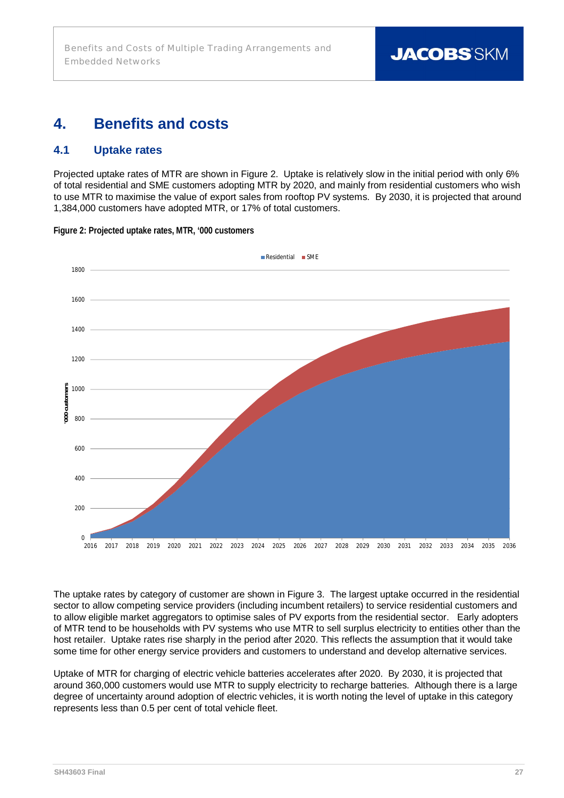# **4. Benefits and costs**

# **4.1 Uptake rates**

Projected uptake rates of MTR are shown in Figure 2. Uptake is relatively slow in the initial period with only 6% of total residential and SME customers adopting MTR by 2020, and mainly from residential customers who wish to use MTR to maximise the value of export sales from rooftop PV systems. By 2030, it is projected that around 1,384,000 customers have adopted MTR, or 17% of total customers.

**Figure 2: Projected uptake rates, MTR, '000 customers** 



The uptake rates by category of customer are shown in Figure 3. The largest uptake occurred in the residential sector to allow competing service providers (including incumbent retailers) to service residential customers and to allow eligible market aggregators to optimise sales of PV exports from the residential sector. Early adopters of MTR tend to be households with PV systems who use MTR to sell surplus electricity to entities other than the host retailer. Uptake rates rise sharply in the period after 2020. This reflects the assumption that it would take some time for other energy service providers and customers to understand and develop alternative services.

Uptake of MTR for charging of electric vehicle batteries accelerates after 2020. By 2030, it is projected that around 360,000 customers would use MTR to supply electricity to recharge batteries. Although there is a large degree of uncertainty around adoption of electric vehicles, it is worth noting the level of uptake in this category represents less than 0.5 per cent of total vehicle fleet.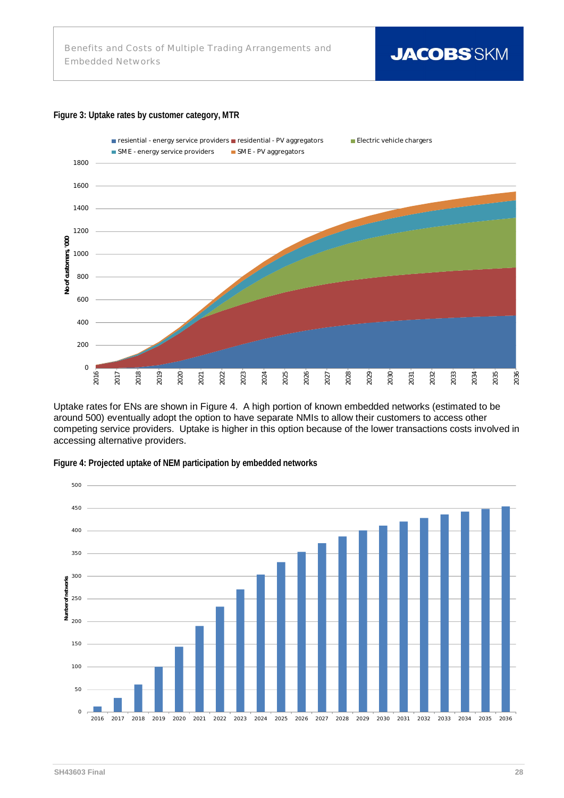### **Figure 3: Uptake rates by customer category, MTR**



Uptake rates for ENs are shown in Figure 4. A high portion of known embedded networks (estimated to be around 500) eventually adopt the option to have separate NMIs to allow their customers to access other competing service providers. Uptake is higher in this option because of the lower transactions costs involved in accessing alternative providers.



**Figure 4: Projected uptake of NEM participation by embedded networks**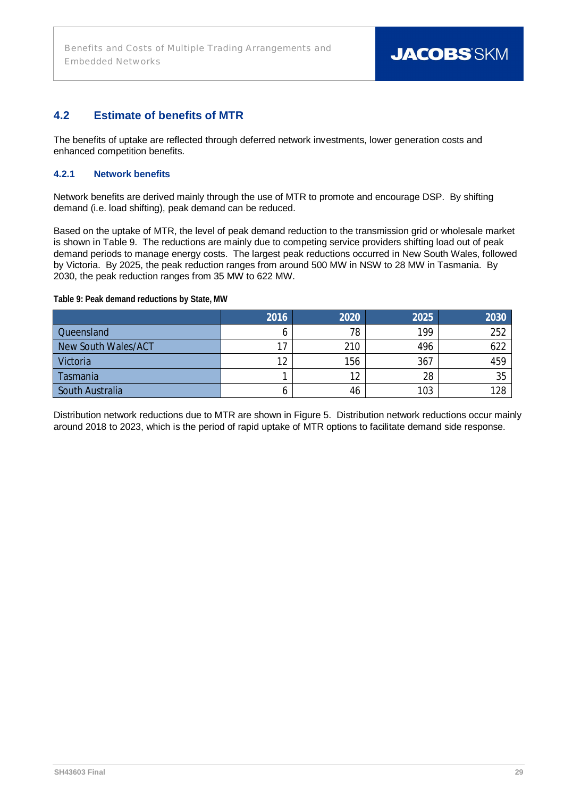# **4.2 Estimate of benefits of MTR**

The benefits of uptake are reflected through deferred network investments, lower generation costs and enhanced competition benefits.

#### **4.2.1 Network benefits**

Network benefits are derived mainly through the use of MTR to promote and encourage DSP. By shifting demand (i.e. load shifting), peak demand can be reduced.

Based on the uptake of MTR, the level of peak demand reduction to the transmission grid or wholesale market is shown in Table 9. The reductions are mainly due to competing service providers shifting load out of peak demand periods to manage energy costs. The largest peak reductions occurred in New South Wales, followed by Victoria. By 2025, the peak reduction ranges from around 500 MW in NSW to 28 MW in Tasmania. By 2030, the peak reduction ranges from 35 MW to 622 MW.

**Table 9: Peak demand reductions by State, MW** 

|                     | 2016 | 2020 | 2025 | 2030 |
|---------------------|------|------|------|------|
| Queensland          | o    | 78   | 199  | 252  |
| New South Wales/ACT | 17   | 210  | 496  | 622  |
| Victoria            | 12   | 156  | 367  | 459  |
| Tasmania            |      | 12   | 28   | 35   |
| South Australia     | 6    | 46   | 103  | 128  |

Distribution network reductions due to MTR are shown in Figure 5. Distribution network reductions occur mainly around 2018 to 2023, which is the period of rapid uptake of MTR options to facilitate demand side response.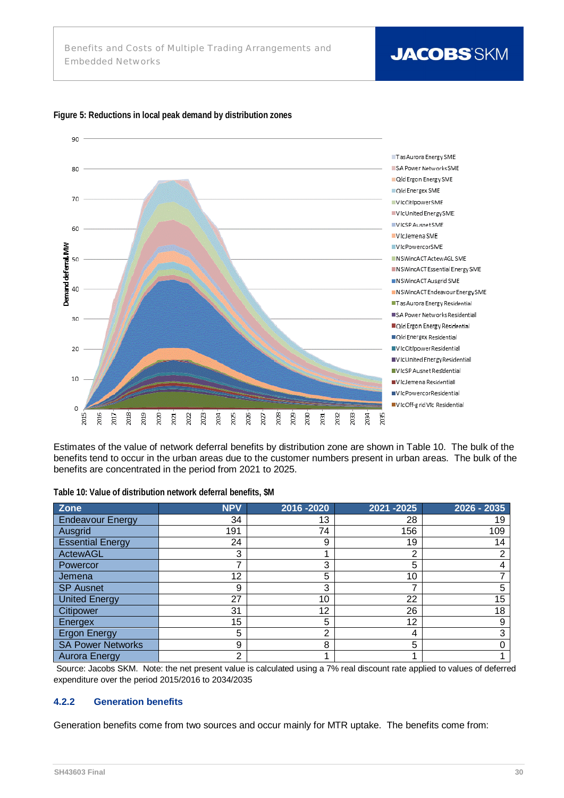**JACOBS**'SKM





Estimates of the value of network deferral benefits by distribution zone are shown in Table 10. The bulk of the benefits tend to occur in the urban areas due to the customer numbers present in urban areas. The bulk of the benefits are concentrated in the period from 2021 to 2025.

| Table 10: Value of distribution network deferral benefits, \$M |
|----------------------------------------------------------------|
|----------------------------------------------------------------|

| <b>Zone</b>              | <b>NPV</b> | 2016 - 2020 | 2021 - 2025 | $2026 - 2035$ |
|--------------------------|------------|-------------|-------------|---------------|
| <b>Endeavour Energy</b>  | 34         | 13          | 28          | 19            |
| Ausgrid                  | 191        | 74          | 156         | 109           |
| <b>Essential Energy</b>  | 24         | 9           | 19          | 14            |
| <b>ActewAGL</b>          | 3          |             | ົ           | っ             |
| Powercor                 | 7          | 3           | 5           | 4             |
| Jemena                   | 12         | 5           | 10          |               |
| <b>SP Ausnet</b>         | 9          | 3           | ⇁           | 5             |
| <b>United Energy</b>     | 27         | 10          | 22          | 15            |
| Citipower                | 31         | 12          | 26          | 18            |
| Energex                  | 15         | 5           | 12          | 9             |
| <b>Ergon Energy</b>      | 5          | າ           | 4           | 3             |
| <b>SA Power Networks</b> | 9          | 8           | 5           | 0             |
| <b>Aurora Energy</b>     | 2          |             |             |               |

Source: Jacobs SKM. Note: the net present value is calculated using a 7% real discount rate applied to values of deferred expenditure over the period 2015/2016 to 2034/2035

#### **4.2.2 Generation benefits**

Generation benefits come from two sources and occur mainly for MTR uptake. The benefits come from: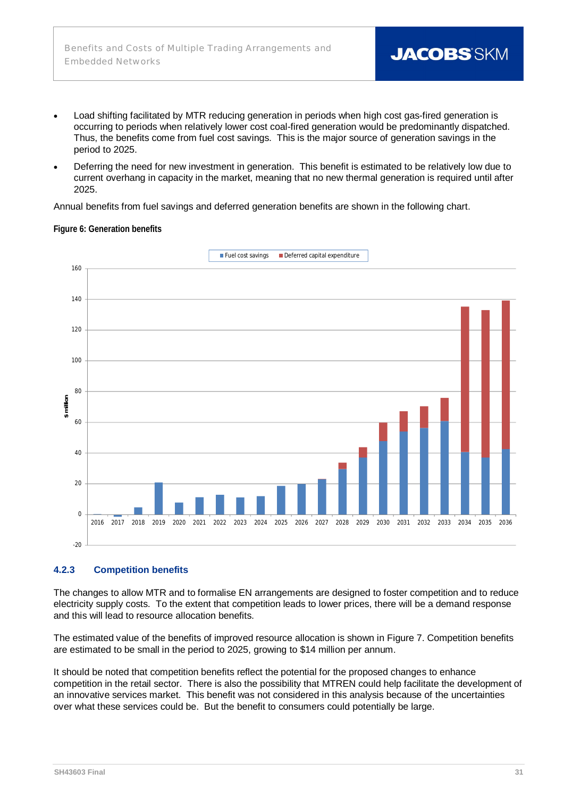Benefits and Costs of Multiple Trading Arrangements and Embedded Networks

- Load shifting facilitated by MTR reducing generation in periods when high cost gas-fired generation is occurring to periods when relatively lower cost coal-fired generation would be predominantly dispatched. Thus, the benefits come from fuel cost savings. This is the major source of generation savings in the period to 2025.
- Deferring the need for new investment in generation. This benefit is estimated to be relatively low due to current overhang in capacity in the market, meaning that no new thermal generation is required until after 2025.

Annual benefits from fuel savings and deferred generation benefits are shown in the following chart.



**Figure 6: Generation benefits** 

### **4.2.3 Competition benefits**

The changes to allow MTR and to formalise EN arrangements are designed to foster competition and to reduce electricity supply costs. To the extent that competition leads to lower prices, there will be a demand response and this will lead to resource allocation benefits.

The estimated value of the benefits of improved resource allocation is shown in Figure 7. Competition benefits are estimated to be small in the period to 2025, growing to \$14 million per annum.

It should be noted that competition benefits reflect the potential for the proposed changes to enhance competition in the retail sector. There is also the possibility that MTREN could help facilitate the development of an innovative services market. This benefit was not considered in this analysis because of the uncertainties over what these services could be. But the benefit to consumers could potentially be large.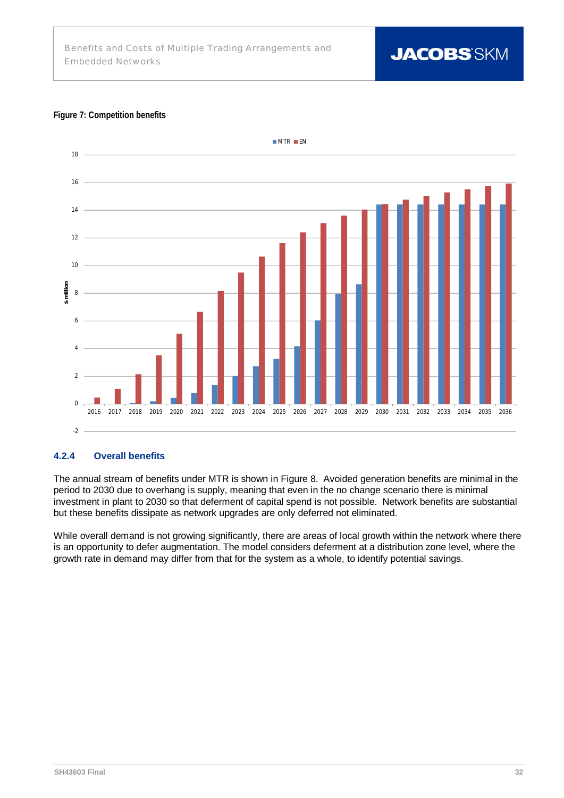#### **Figure 7: Competition benefits**



#### **4.2.4 Overall benefits**

The annual stream of benefits under MTR is shown in Figure 8. Avoided generation benefits are minimal in the period to 2030 due to overhang is supply, meaning that even in the no change scenario there is minimal investment in plant to 2030 so that deferment of capital spend is not possible. Network benefits are substantial but these benefits dissipate as network upgrades are only deferred not eliminated.

While overall demand is not growing significantly, there are areas of local growth within the network where there is an opportunity to defer augmentation. The model considers deferment at a distribution zone level, where the growth rate in demand may differ from that for the system as a whole, to identify potential savings.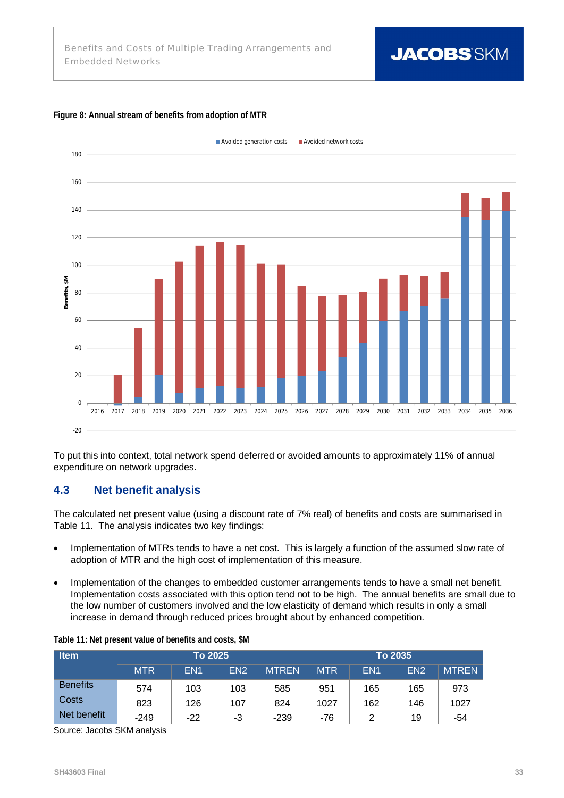![](_page_36_Figure_2.jpeg)

#### **Figure 8: Annual stream of benefits from adoption of MTR**

To put this into context, total network spend deferred or avoided amounts to approximately 11% of annual expenditure on network upgrades.

# **4.3 Net benefit analysis**

The calculated net present value (using a discount rate of 7% real) of benefits and costs are summarised in Table 11. The analysis indicates two key findings:

- Implementation of MTRs tends to have a net cost. This is largely a function of the assumed slow rate of adoption of MTR and the high cost of implementation of this measure.
- Implementation of the changes to embedded customer arrangements tends to have a small net benefit. Implementation costs associated with this option tend not to be high. The annual benefits are small due to the low number of customers involved and the low elasticity of demand which results in only a small increase in demand through reduced prices brought about by enhanced competition.

| <b>Item</b>     | To 2025    |                 |                 |              | To 2035    |                 |                 |              |  |
|-----------------|------------|-----------------|-----------------|--------------|------------|-----------------|-----------------|--------------|--|
|                 | <b>MTR</b> | EN <sub>1</sub> | EN <sub>2</sub> | <b>MTREN</b> | <b>MTR</b> | EN <sub>1</sub> | EN <sub>2</sub> | <b>MTREN</b> |  |
| <b>Benefits</b> | 574        | 103             | 103             | 585          | 951        | 165             | 165             | 973          |  |
| Costs           | 823        | 126             | 107             | 824          | 1027       | 162             | 146             | 1027         |  |
| Net benefit     | $-249$     | $-22$           | -3              | $-239$       | -76        | C               | 19              | -54          |  |

|  | Table 11: Net present value of benefits and costs, \$M |  |  |  |
|--|--------------------------------------------------------|--|--|--|
|--|--------------------------------------------------------|--|--|--|

Source: Jacobs SKM analysis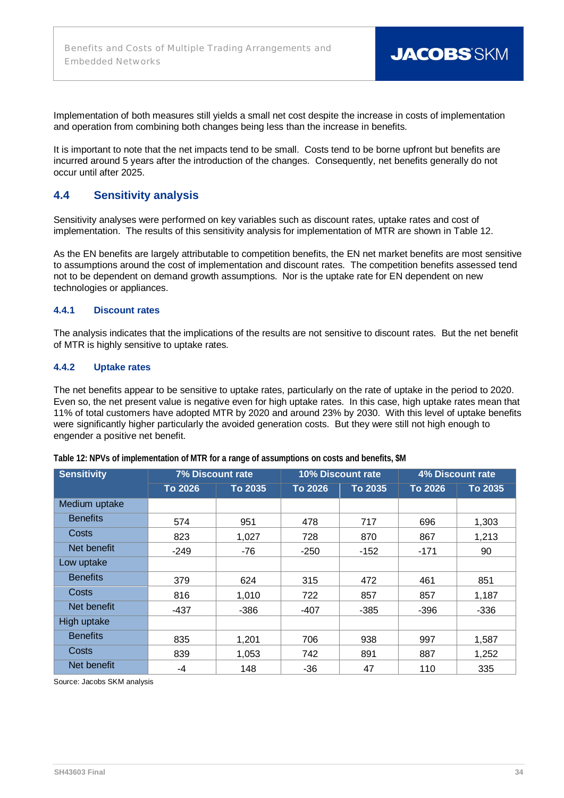Implementation of both measures still yields a small net cost despite the increase in costs of implementation and operation from combining both changes being less than the increase in benefits.

It is important to note that the net impacts tend to be small. Costs tend to be borne upfront but benefits are incurred around 5 years after the introduction of the changes. Consequently, net benefits generally do not occur until after 2025.

### **4.4 Sensitivity analysis**

Sensitivity analyses were performed on key variables such as discount rates, uptake rates and cost of implementation. The results of this sensitivity analysis for implementation of MTR are shown in Table 12.

As the EN benefits are largely attributable to competition benefits, the EN net market benefits are most sensitive to assumptions around the cost of implementation and discount rates. The competition benefits assessed tend not to be dependent on demand growth assumptions. Nor is the uptake rate for EN dependent on new technologies or appliances.

#### **4.4.1 Discount rates**

The analysis indicates that the implications of the results are not sensitive to discount rates. But the net benefit of MTR is highly sensitive to uptake rates.

#### **4.4.2 Uptake rates**

The net benefits appear to be sensitive to uptake rates, particularly on the rate of uptake in the period to 2020. Even so, the net present value is negative even for high uptake rates. In this case, high uptake rates mean that 11% of total customers have adopted MTR by 2020 and around 23% by 2030. With this level of uptake benefits were significantly higher particularly the avoided generation costs. But they were still not high enough to engender a positive net benefit.

| <b>Sensitivity</b> | <b>7% Discount rate</b> |         | 10% Discount rate |         | <b>4% Discount rate</b> |         |  |
|--------------------|-------------------------|---------|-------------------|---------|-------------------------|---------|--|
|                    | To 2026                 | To 2035 | To 2026           | To 2035 | To 2026                 | To 2035 |  |
| Medium uptake      |                         |         |                   |         |                         |         |  |
| <b>Benefits</b>    | 574                     | 951     | 478               | 717     | 696                     | 1,303   |  |
| Costs              | 823                     | 1,027   | 728               | 870     | 867                     | 1,213   |  |
| Net benefit        | $-249$                  | -76     | $-250$            | $-152$  | $-171$                  | 90      |  |
| Low uptake         |                         |         |                   |         |                         |         |  |
| <b>Benefits</b>    | 379                     | 624     | 315               | 472     | 461                     | 851     |  |
| Costs              | 816                     | 1,010   | 722               | 857     | 857                     | 1,187   |  |
| Net benefit        | $-437$                  | $-386$  | $-407$            | $-385$  | $-396$                  | $-336$  |  |
| High uptake        |                         |         |                   |         |                         |         |  |
| <b>Benefits</b>    | 835                     | 1,201   | 706               | 938     | 997                     | 1,587   |  |
| Costs              | 839                     | 1,053   | 742               | 891     | 887                     | 1,252   |  |
| Net benefit        | -4                      | 148     | $-36$             | 47      | 110                     | 335     |  |

**Table 12: NPVs of implementation of MTR for a range of assumptions on costs and benefits, \$M** 

Source: Jacobs SKM analysis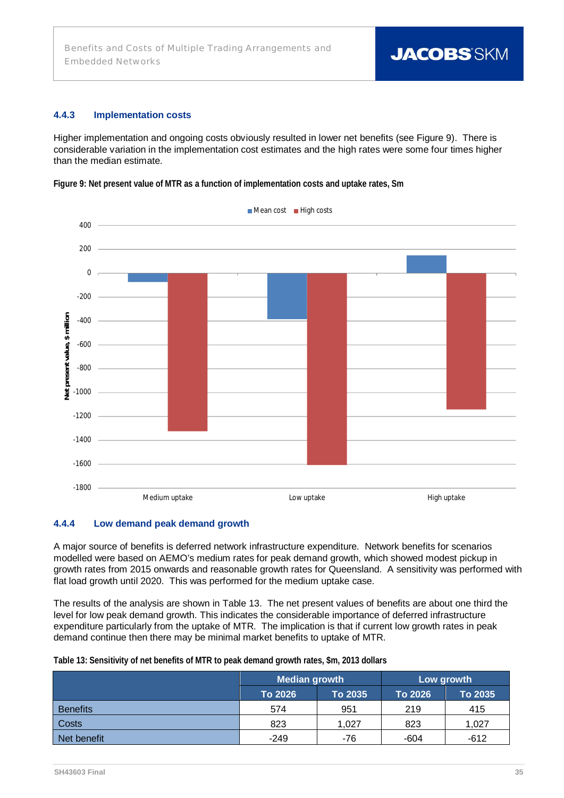#### **4.4.3 Implementation costs**

Higher implementation and ongoing costs obviously resulted in lower net benefits (see Figure 9). There is considerable variation in the implementation cost estimates and the high rates were some four times higher than the median estimate.

**Figure 9: Net present value of MTR as a function of implementation costs and uptake rates, Sm** 

![](_page_38_Figure_5.jpeg)

#### **4.4.4 Low demand peak demand growth**

A major source of benefits is deferred network infrastructure expenditure. Network benefits for scenarios modelled were based on AEMO's medium rates for peak demand growth, which showed modest pickup in growth rates from 2015 onwards and reasonable growth rates for Queensland. A sensitivity was performed with flat load growth until 2020. This was performed for the medium uptake case.

The results of the analysis are shown in Table 13. The net present values of benefits are about one third the level for low peak demand growth. This indicates the considerable importance of deferred infrastructure expenditure particularly from the uptake of MTR. The implication is that if current low growth rates in peak demand continue then there may be minimal market benefits to uptake of MTR.

**Table 13: Sensitivity of net benefits of MTR to peak demand growth rates, \$m, 2013 dollars** 

|                 | <b>Median growth</b> |         | Low growth |         |  |
|-----------------|----------------------|---------|------------|---------|--|
|                 | To 2026              | To 2035 | To 2026    | To 2035 |  |
| <b>Benefits</b> | 574                  | 951     | 219        | 415     |  |
| Costs           | 823                  | 1,027   | 823        | 1,027   |  |
| Net benefit     | $-249$               | -76     | -604       | $-612$  |  |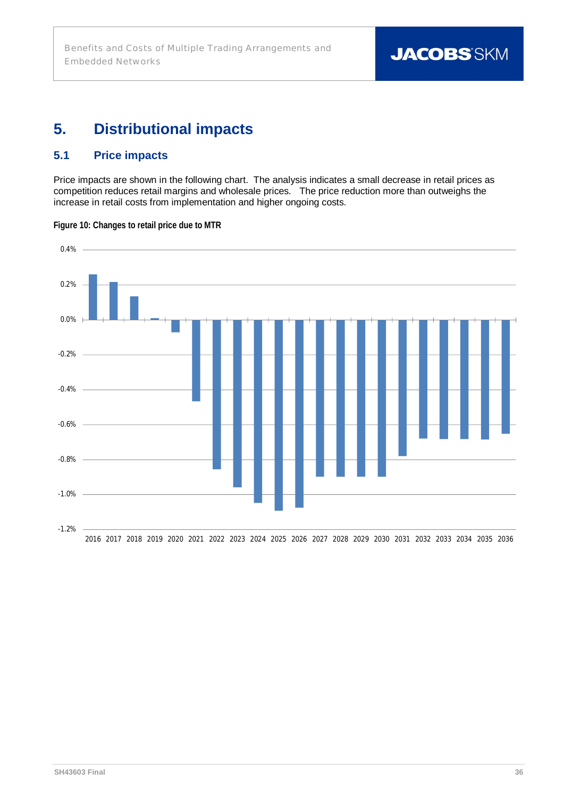# **5. Distributional impacts**

### **5.1 Price impacts**

Price impacts are shown in the following chart. The analysis indicates a small decrease in retail prices as competition reduces retail margins and wholesale prices. The price reduction more than outweighs the increase in retail costs from implementation and higher ongoing costs.

![](_page_39_Figure_5.jpeg)

**Figure 10: Changes to retail price due to MTR**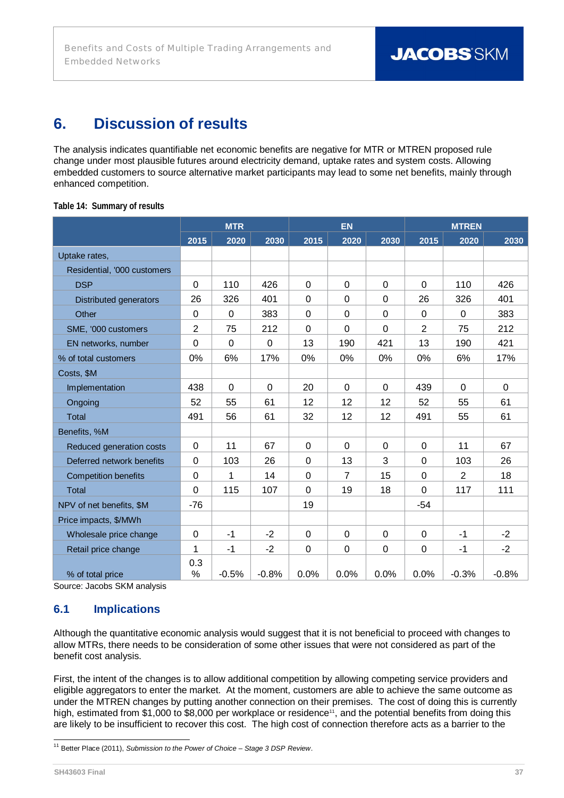# **6. Discussion of results**

The analysis indicates quantifiable net economic benefits are negative for MTR or MTREN proposed rule change under most plausible futures around electricity demand, uptake rates and system costs. Allowing embedded customers to source alternative market participants may lead to some net benefits, mainly through enhanced competition.

#### **Table 14: Summary of results**

|                             | <b>MTR</b>     |             | <b>EN</b>      |             |                | <b>MTREN</b> |                |                |             |
|-----------------------------|----------------|-------------|----------------|-------------|----------------|--------------|----------------|----------------|-------------|
|                             | 2015           | 2020        | 2030           | 2015        | 2020           | 2030         | 2015           | 2020           | 2030        |
| Uptake rates,               |                |             |                |             |                |              |                |                |             |
| Residential, '000 customers |                |             |                |             |                |              |                |                |             |
| <b>DSP</b>                  | $\mathbf 0$    | 110         | 426            | $\mathbf 0$ | $\mathbf 0$    | 0            | $\mathbf 0$    | 110            | 426         |
| Distributed generators      | 26             | 326         | 401            | $\mathbf 0$ | 0              | 0            | 26             | 326            | 401         |
| Other                       | $\mathbf 0$    | $\mathbf 0$ | 383            | $\mathbf 0$ | 0              | 0            | $\mathbf 0$    | $\mathbf 0$    | 383         |
| SME, '000 customers         | $\overline{2}$ | 75          | 212            | $\mathbf 0$ | 0              | 0            | $\overline{2}$ | 75             | 212         |
| EN networks, number         | $\mathbf 0$    | 0           | $\overline{0}$ | 13          | 190            | 421          | 13             | 190            | 421         |
| % of total customers        | 0%             | 6%          | 17%            | 0%          | 0%             | 0%           | 0%             | 6%             | 17%         |
| Costs, \$M                  |                |             |                |             |                |              |                |                |             |
| Implementation              | 438            | $\mathbf 0$ | $\mathbf 0$    | 20          | $\mathbf 0$    | $\mathbf 0$  | 439            | $\mathbf 0$    | $\mathbf 0$ |
| Ongoing                     | 52             | 55          | 61             | 12          | 12             | 12           | 52             | 55             | 61          |
| <b>Total</b>                | 491            | 56          | 61             | 32          | 12             | 12           | 491            | 55             | 61          |
| Benefits, %M                |                |             |                |             |                |              |                |                |             |
| Reduced generation costs    | $\mathbf 0$    | 11          | 67             | $\mathbf 0$ | $\mathbf 0$    | 0            | $\mathbf 0$    | 11             | 67          |
| Deferred network benefits   | $\mathbf 0$    | 103         | 26             | $\mathbf 0$ | 13             | 3            | 0              | 103            | 26          |
| <b>Competition benefits</b> | $\pmb{0}$      | 1           | 14             | $\mathbf 0$ | $\overline{7}$ | 15           | 0              | $\overline{2}$ | 18          |
| <b>Total</b>                | $\mathbf 0$    | 115         | 107            | $\mathbf 0$ | 19             | 18           | 0              | 117            | 111         |
| NPV of net benefits, \$M    | $-76$          |             |                | 19          |                |              | $-54$          |                |             |
| Price impacts, \$/MWh       |                |             |                |             |                |              |                |                |             |
| Wholesale price change      | 0              | $-1$        | $-2$           | 0           | 0              | 0            | 0              | $-1$           | $-2$        |
| Retail price change         | 1              | $-1$        | $-2$           | $\mathbf 0$ | 0              | 0            | 0              | -1             | $-2$        |
| % of total price            | 0.3<br>%       | $-0.5%$     | $-0.8%$        | 0.0%        | 0.0%           | 0.0%         | 0.0%           | $-0.3%$        | $-0.8%$     |

Source: Jacobs SKM analysis

# **6.1 Implications**

Although the quantitative economic analysis would suggest that it is not beneficial to proceed with changes to allow MTRs, there needs to be consideration of some other issues that were not considered as part of the benefit cost analysis.

First, the intent of the changes is to allow additional competition by allowing competing service providers and eligible aggregators to enter the market. At the moment, customers are able to achieve the same outcome as under the MTREN changes by putting another connection on their premises. The cost of doing this is currently high, estimated from \$1,000 to \$8,000 per workplace or residence<sup>11</sup>, and the potential benefits from doing this are likely to be insufficient to recover this cost. The high cost of connection therefore acts as a barrier to the

1 <sup>11</sup> Better Place (2011), *Submission to the Power of Choice – Stage 3 DSP Review.*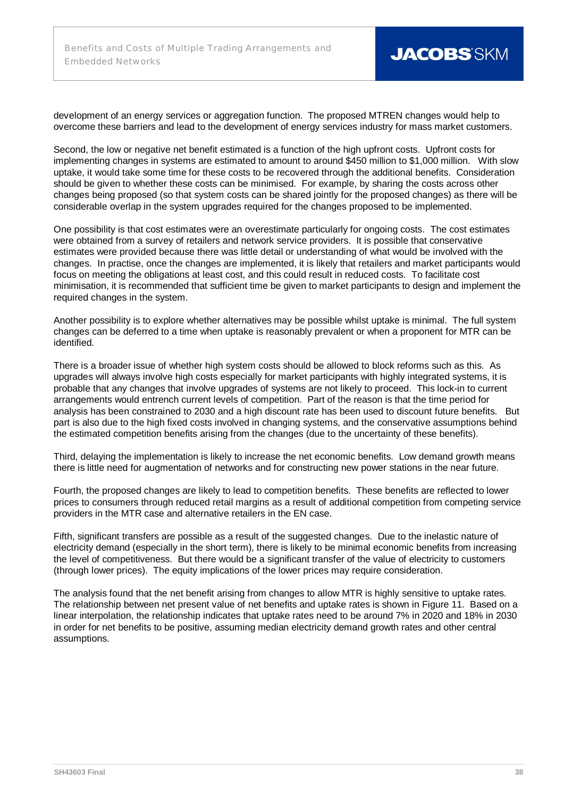development of an energy services or aggregation function. The proposed MTREN changes would help to overcome these barriers and lead to the development of energy services industry for mass market customers.

Second, the low or negative net benefit estimated is a function of the high upfront costs. Upfront costs for implementing changes in systems are estimated to amount to around \$450 million to \$1,000 million. With slow uptake, it would take some time for these costs to be recovered through the additional benefits. Consideration should be given to whether these costs can be minimised. For example, by sharing the costs across other changes being proposed (so that system costs can be shared jointly for the proposed changes) as there will be considerable overlap in the system upgrades required for the changes proposed to be implemented.

One possibility is that cost estimates were an overestimate particularly for ongoing costs. The cost estimates were obtained from a survey of retailers and network service providers. It is possible that conservative estimates were provided because there was little detail or understanding of what would be involved with the changes. In practise, once the changes are implemented, it is likely that retailers and market participants would focus on meeting the obligations at least cost, and this could result in reduced costs. To facilitate cost minimisation, it is recommended that sufficient time be given to market participants to design and implement the required changes in the system.

Another possibility is to explore whether alternatives may be possible whilst uptake is minimal. The full system changes can be deferred to a time when uptake is reasonably prevalent or when a proponent for MTR can be identified.

There is a broader issue of whether high system costs should be allowed to block reforms such as this. As upgrades will always involve high costs especially for market participants with highly integrated systems, it is probable that any changes that involve upgrades of systems are not likely to proceed. This lock-in to current arrangements would entrench current levels of competition. Part of the reason is that the time period for analysis has been constrained to 2030 and a high discount rate has been used to discount future benefits. But part is also due to the high fixed costs involved in changing systems, and the conservative assumptions behind the estimated competition benefits arising from the changes (due to the uncertainty of these benefits).

Third, delaying the implementation is likely to increase the net economic benefits. Low demand growth means there is little need for augmentation of networks and for constructing new power stations in the near future.

Fourth, the proposed changes are likely to lead to competition benefits. These benefits are reflected to lower prices to consumers through reduced retail margins as a result of additional competition from competing service providers in the MTR case and alternative retailers in the EN case.

Fifth, significant transfers are possible as a result of the suggested changes. Due to the inelastic nature of electricity demand (especially in the short term), there is likely to be minimal economic benefits from increasing the level of competitiveness. But there would be a significant transfer of the value of electricity to customers (through lower prices). The equity implications of the lower prices may require consideration.

The analysis found that the net benefit arising from changes to allow MTR is highly sensitive to uptake rates. The relationship between net present value of net benefits and uptake rates is shown in Figure 11. Based on a linear interpolation, the relationship indicates that uptake rates need to be around 7% in 2020 and 18% in 2030 in order for net benefits to be positive, assuming median electricity demand growth rates and other central assumptions.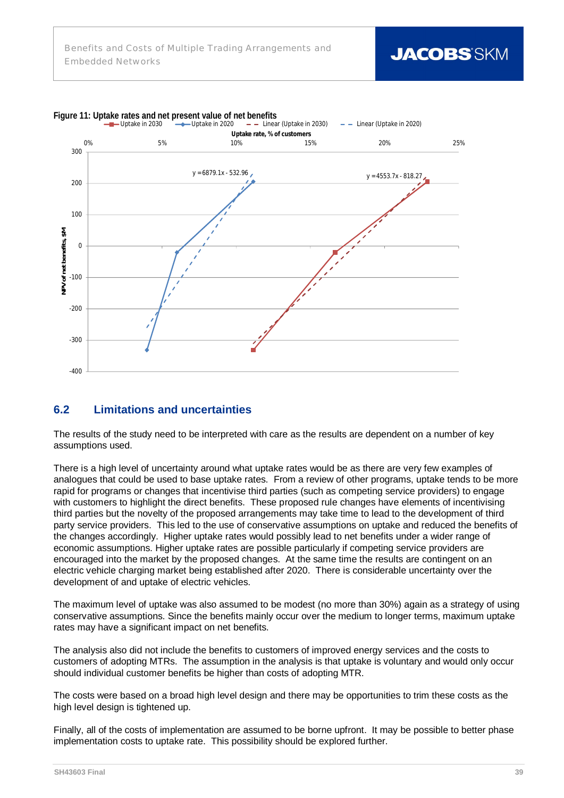![](_page_42_Figure_1.jpeg)

![](_page_42_Figure_2.jpeg)

# **6.2 Limitations and uncertainties**

The results of the study need to be interpreted with care as the results are dependent on a number of key assumptions used.

There is a high level of uncertainty around what uptake rates would be as there are very few examples of analogues that could be used to base uptake rates. From a review of other programs, uptake tends to be more rapid for programs or changes that incentivise third parties (such as competing service providers) to engage with customers to highlight the direct benefits. These proposed rule changes have elements of incentivising third parties but the novelty of the proposed arrangements may take time to lead to the development of third party service providers. This led to the use of conservative assumptions on uptake and reduced the benefits of the changes accordingly. Higher uptake rates would possibly lead to net benefits under a wider range of economic assumptions. Higher uptake rates are possible particularly if competing service providers are encouraged into the market by the proposed changes. At the same time the results are contingent on an electric vehicle charging market being established after 2020. There is considerable uncertainty over the development of and uptake of electric vehicles.

The maximum level of uptake was also assumed to be modest (no more than 30%) again as a strategy of using conservative assumptions. Since the benefits mainly occur over the medium to longer terms, maximum uptake rates may have a significant impact on net benefits.

The analysis also did not include the benefits to customers of improved energy services and the costs to customers of adopting MTRs. The assumption in the analysis is that uptake is voluntary and would only occur should individual customer benefits be higher than costs of adopting MTR.

The costs were based on a broad high level design and there may be opportunities to trim these costs as the high level design is tightened up.

Finally, all of the costs of implementation are assumed to be borne upfront. It may be possible to better phase implementation costs to uptake rate. This possibility should be explored further.

**JACOBS**'SKM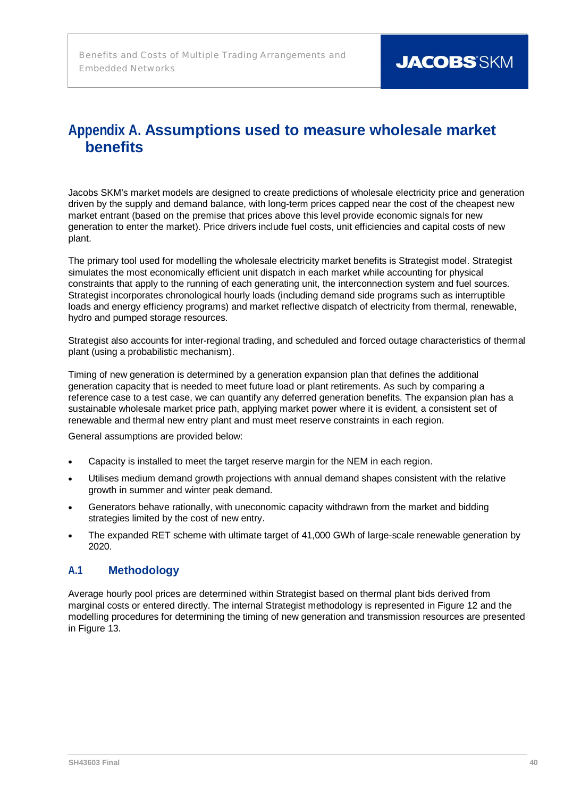# **Appendix A. Assumptions used to measure wholesale market benefits**

Jacobs SKM's market models are designed to create predictions of wholesale electricity price and generation driven by the supply and demand balance, with long-term prices capped near the cost of the cheapest new market entrant (based on the premise that prices above this level provide economic signals for new generation to enter the market). Price drivers include fuel costs, unit efficiencies and capital costs of new plant.

The primary tool used for modelling the wholesale electricity market benefits is Strategist model. Strategist simulates the most economically efficient unit dispatch in each market while accounting for physical constraints that apply to the running of each generating unit, the interconnection system and fuel sources. Strategist incorporates chronological hourly loads (including demand side programs such as interruptible loads and energy efficiency programs) and market reflective dispatch of electricity from thermal, renewable, hydro and pumped storage resources.

Strategist also accounts for inter-regional trading, and scheduled and forced outage characteristics of thermal plant (using a probabilistic mechanism).

Timing of new generation is determined by a generation expansion plan that defines the additional generation capacity that is needed to meet future load or plant retirements. As such by comparing a reference case to a test case, we can quantify any deferred generation benefits. The expansion plan has a sustainable wholesale market price path, applying market power where it is evident, a consistent set of renewable and thermal new entry plant and must meet reserve constraints in each region.

General assumptions are provided below:

- Capacity is installed to meet the target reserve margin for the NEM in each region.
- Utilises medium demand growth projections with annual demand shapes consistent with the relative growth in summer and winter peak demand.
- Generators behave rationally, with uneconomic capacity withdrawn from the market and bidding strategies limited by the cost of new entry.
- The expanded RET scheme with ultimate target of 41,000 GWh of large-scale renewable generation by 2020.

### **A.1 Methodology**

Average hourly pool prices are determined within Strategist based on thermal plant bids derived from marginal costs or entered directly. The internal Strategist methodology is represented in Figure 12 and the modelling procedures for determining the timing of new generation and transmission resources are presented in Figure 13.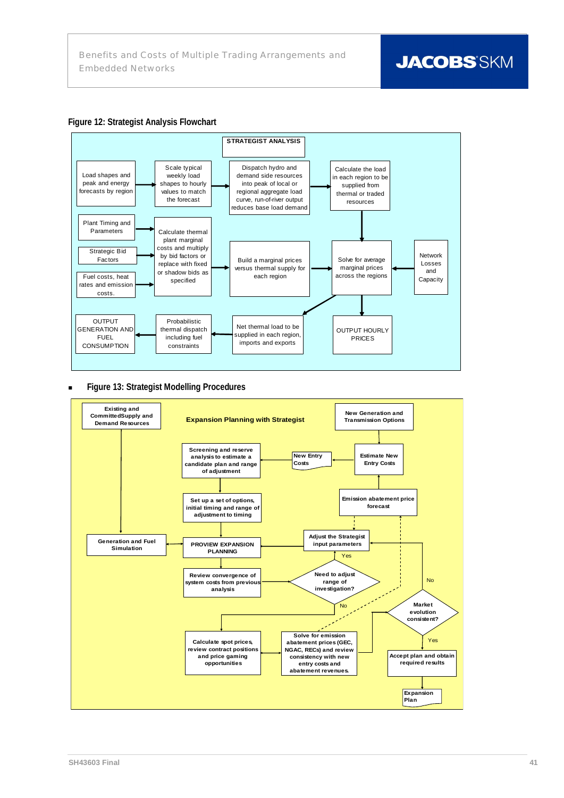![](_page_44_Figure_2.jpeg)

![](_page_44_Figure_3.jpeg)

**Figure 13: Strategist Modelling Procedures** 

![](_page_44_Figure_5.jpeg)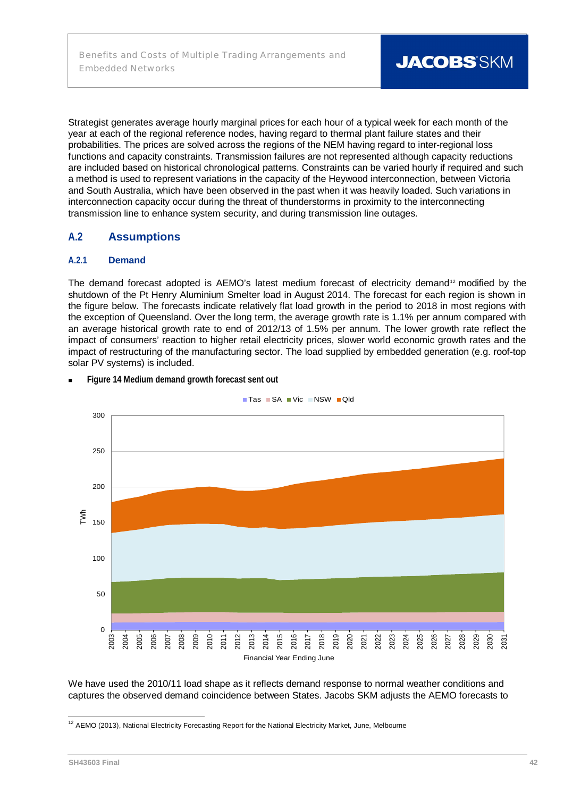Strategist generates average hourly marginal prices for each hour of a typical week for each month of the year at each of the regional reference nodes, having regard to thermal plant failure states and their probabilities. The prices are solved across the regions of the NEM having regard to inter-regional loss functions and capacity constraints. Transmission failures are not represented although capacity reductions are included based on historical chronological patterns. Constraints can be varied hourly if required and such a method is used to represent variations in the capacity of the Heywood interconnection, between Victoria and South Australia, which have been observed in the past when it was heavily loaded. Such variations in interconnection capacity occur during the threat of thunderstorms in proximity to the interconnecting transmission line to enhance system security, and during transmission line outages.

# **A.2 Assumptions**

### **A.2.1 Demand**

The demand forecast adopted is AEMO's latest medium forecast of electricity demand<sup>12</sup> modified by the shutdown of the Pt Henry Aluminium Smelter load in August 2014. The forecast for each region is shown in the figure below. The forecasts indicate relatively flat load growth in the period to 2018 in most regions with the exception of Queensland. Over the long term, the average growth rate is 1.1% per annum compared with an average historical growth rate to end of 2012/13 of 1.5% per annum. The lower growth rate reflect the impact of consumers' reaction to higher retail electricity prices, slower world economic growth rates and the impact of restructuring of the manufacturing sector. The load supplied by embedded generation (e.g. roof-top solar PV systems) is included.

![](_page_45_Figure_6.jpeg)

**Figure 14 Medium demand growth forecast sent out** 

We have used the 2010/11 load shape as it reflects demand response to normal weather conditions and captures the observed demand coincidence between States. Jacobs SKM adjusts the AEMO forecasts to

<sup>1</sup>  $12$  AEMO (2013), National Electricity Forecasting Report for the National Electricity Market, June, Melbourne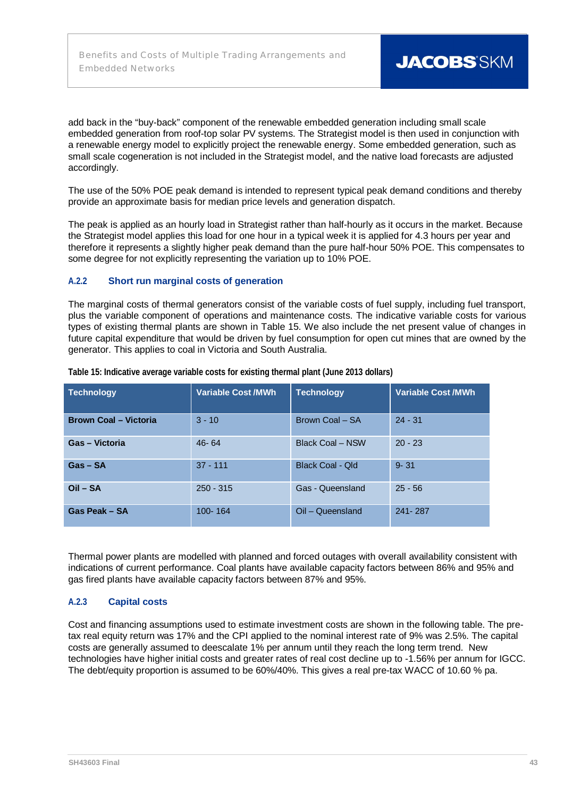add back in the "buy-back" component of the renewable embedded generation including small scale embedded generation from roof-top solar PV systems. The Strategist model is then used in conjunction with a renewable energy model to explicitly project the renewable energy. Some embedded generation, such as small scale cogeneration is not included in the Strategist model, and the native load forecasts are adjusted accordingly.

The use of the 50% POE peak demand is intended to represent typical peak demand conditions and thereby provide an approximate basis for median price levels and generation dispatch.

The peak is applied as an hourly load in Strategist rather than half-hourly as it occurs in the market. Because the Strategist model applies this load for one hour in a typical week it is applied for 4.3 hours per year and therefore it represents a slightly higher peak demand than the pure half-hour 50% POE. This compensates to some degree for not explicitly representing the variation up to 10% POE.

#### **A.2.2 Short run marginal costs of generation**

The marginal costs of thermal generators consist of the variable costs of fuel supply, including fuel transport, plus the variable component of operations and maintenance costs. The indicative variable costs for various types of existing thermal plants are shown in Table 15. We also include the net present value of changes in future capital expenditure that would be driven by fuel consumption for open cut mines that are owned by the generator. This applies to coal in Victoria and South Australia.

| <b>Technology</b>            | <b>Variable Cost /MWh</b> | <b>Technology</b> | <b>Variable Cost /MWh</b> |
|------------------------------|---------------------------|-------------------|---------------------------|
| <b>Brown Coal - Victoria</b> | $3 - 10$                  | Brown Coal - SA   | $24 - 31$                 |
| <b>Gas-Victoria</b>          | $46 - 64$                 | Black Coal - NSW  | $20 - 23$                 |
| $Gas - SA$                   | $37 - 111$                | Black Coal - Old  | $9 - 31$                  |
| $Oil - SA$                   | $250 - 315$               | Gas - Queensland  | $25 - 56$                 |
| <b>Gas Peak - SA</b>         | 100-164                   | Oil - Queensland  | 241-287                   |

**Table 15: Indicative average variable costs for existing thermal plant (June 2013 dollars)** 

Thermal power plants are modelled with planned and forced outages with overall availability consistent with indications of current performance. Coal plants have available capacity factors between 86% and 95% and gas fired plants have available capacity factors between 87% and 95%.

#### **A.2.3 Capital costs**

Cost and financing assumptions used to estimate investment costs are shown in the following table. The pretax real equity return was 17% and the CPI applied to the nominal interest rate of 9% was 2.5%. The capital costs are generally assumed to deescalate 1% per annum until they reach the long term trend. New technologies have higher initial costs and greater rates of real cost decline up to -1.56% per annum for IGCC. The debt/equity proportion is assumed to be 60%/40%. This gives a real pre-tax WACC of 10.60 % pa.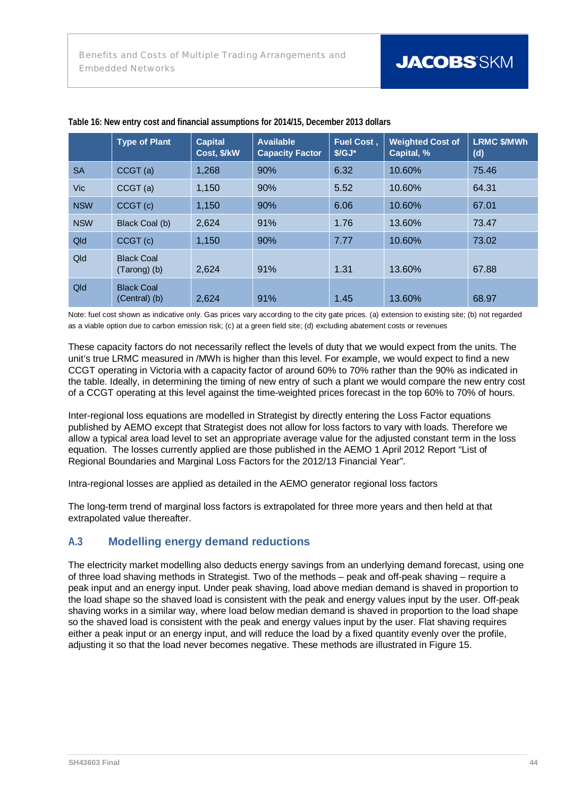|            | <b>Type of Plant</b>                | <b>Capital</b><br>Cost, \$/kW | <b>Available</b><br><b>Capacity Factor</b> | <b>Fuel Cost,</b><br>$$/GJ^*$ | <b>Weighted Cost of</b><br>Capital, % | <b>LRMC \$/MWh</b><br>(d) |
|------------|-------------------------------------|-------------------------------|--------------------------------------------|-------------------------------|---------------------------------------|---------------------------|
| <b>SA</b>  | CCGT (a)                            | 1,268                         | 90%                                        | 6.32                          | 10.60%                                | 75.46                     |
| <b>Vic</b> | CGT(a)                              | 1,150                         | 90%                                        | 5.52                          | 10.60%                                | 64.31                     |
| <b>NSW</b> | CCGT (c)                            | 1,150                         | 90%                                        | 6.06                          | 10.60%                                | 67.01                     |
| <b>NSW</b> | Black Coal (b)                      | 2,624                         | 91%                                        | 1.76                          | 13.60%                                | 73.47                     |
| Qld        | CCGT (c)                            | 1,150                         | 90%                                        | 7.77                          | 10.60%                                | 73.02                     |
| Qld        | <b>Black Coal</b><br>$(Tarong)$ (b) | 2,624                         | 91%                                        | 1.31                          | 13.60%                                | 67.88                     |
| Qld        | <b>Black Coal</b><br>(Central) (b)  | 2,624                         | 91%                                        | 1.45                          | 13.60%                                | 68.97                     |

#### **Table 16: New entry cost and financial assumptions for 2014/15, December 2013 dollars**

Note: fuel cost shown as indicative only. Gas prices vary according to the city gate prices. (a) extension to existing site; (b) not regarded as a viable option due to carbon emission risk; (c) at a green field site; (d) excluding abatement costs or revenues

These capacity factors do not necessarily reflect the levels of duty that we would expect from the units. The unit's true LRMC measured in /MWh is higher than this level. For example, we would expect to find a new CCGT operating in Victoria with a capacity factor of around 60% to 70% rather than the 90% as indicated in the table. Ideally, in determining the timing of new entry of such a plant we would compare the new entry cost of a CCGT operating at this level against the time-weighted prices forecast in the top 60% to 70% of hours.

Inter-regional loss equations are modelled in Strategist by directly entering the Loss Factor equations published by AEMO except that Strategist does not allow for loss factors to vary with loads. Therefore we allow a typical area load level to set an appropriate average value for the adjusted constant term in the loss equation. The losses currently applied are those published in the AEMO 1 April 2012 Report "List of Regional Boundaries and Marginal Loss Factors for the 2012/13 Financial Year".

Intra-regional losses are applied as detailed in the AEMO generator regional loss factors

The long-term trend of marginal loss factors is extrapolated for three more years and then held at that extrapolated value thereafter.

# **A.3 Modelling energy demand reductions**

The electricity market modelling also deducts energy savings from an underlying demand forecast, using one of three load shaving methods in Strategist. Two of the methods – peak and off-peak shaving – require a peak input and an energy input. Under peak shaving, load above median demand is shaved in proportion to the load shape so the shaved load is consistent with the peak and energy values input by the user. Off-peak shaving works in a similar way, where load below median demand is shaved in proportion to the load shape so the shaved load is consistent with the peak and energy values input by the user. Flat shaving requires either a peak input or an energy input, and will reduce the load by a fixed quantity evenly over the profile, adjusting it so that the load never becomes negative. These methods are illustrated in Figure 15.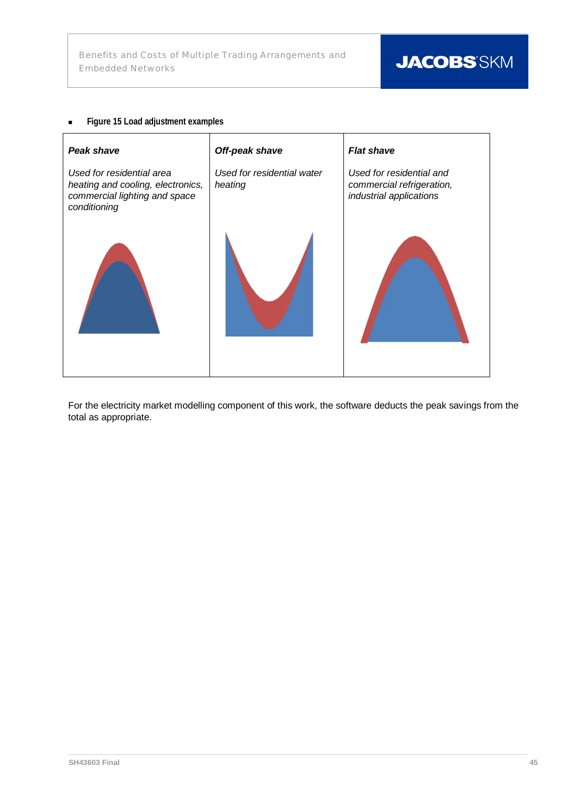| Peak shave                                                                                                      | Off-peak shave                        | <b>Flat shave</b>                                                                |
|-----------------------------------------------------------------------------------------------------------------|---------------------------------------|----------------------------------------------------------------------------------|
| Used for residential area<br>heating and cooling, electronics,<br>commercial lighting and space<br>conditioning | Used for residential water<br>heating | Used for residential and<br>commercial refrigeration,<br>industrial applications |
|                                                                                                                 |                                       |                                                                                  |

#### **Figure 15 Load adjustment examples**

For the electricity market modelling component of this work, the software deducts the peak savings from the total as appropriate.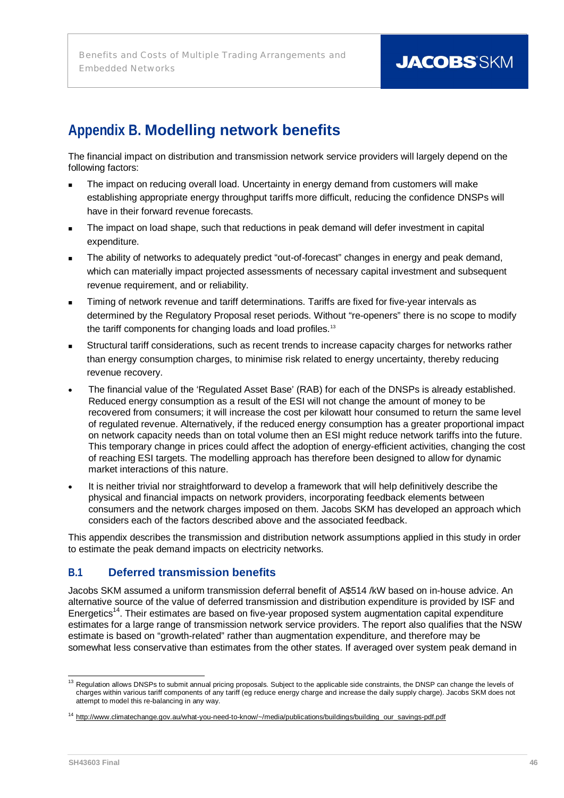# **Appendix B. Modelling network benefits**

The financial impact on distribution and transmission network service providers will largely depend on the following factors:

- The impact on reducing overall load. Uncertainty in energy demand from customers will make establishing appropriate energy throughput tariffs more difficult, reducing the confidence DNSPs will have in their forward revenue forecasts.
- The impact on load shape, such that reductions in peak demand will defer investment in capital expenditure.
- The ability of networks to adequately predict "out-of-forecast" changes in energy and peak demand, which can materially impact projected assessments of necessary capital investment and subsequent revenue requirement, and or reliability.
- Timing of network revenue and tariff determinations. Tariffs are fixed for five-year intervals as determined by the Regulatory Proposal reset periods. Without "re-openers" there is no scope to modify the tariff components for changing loads and load profiles.<sup>13</sup>
- Structural tariff considerations, such as recent trends to increase capacity charges for networks rather than energy consumption charges, to minimise risk related to energy uncertainty, thereby reducing revenue recovery.
- x The financial value of the 'Regulated Asset Base' (RAB) for each of the DNSPs is already established. Reduced energy consumption as a result of the ESI will not change the amount of money to be recovered from consumers; it will increase the cost per kilowatt hour consumed to return the same level of regulated revenue. Alternatively, if the reduced energy consumption has a greater proportional impact on network capacity needs than on total volume then an ESI might reduce network tariffs into the future. This temporary change in prices could affect the adoption of energy-efficient activities, changing the cost of reaching ESI targets. The modelling approach has therefore been designed to allow for dynamic market interactions of this nature.
- It is neither trivial nor straightforward to develop a framework that will help definitively describe the physical and financial impacts on network providers, incorporating feedback elements between consumers and the network charges imposed on them. Jacobs SKM has developed an approach which considers each of the factors described above and the associated feedback.

This appendix describes the transmission and distribution network assumptions applied in this study in order to estimate the peak demand impacts on electricity networks.

# **B.1 Deferred transmission benefits**

Jacobs SKM assumed a uniform transmission deferral benefit of A\$514 /kW based on in-house advice. An alternative source of the value of deferred transmission and distribution expenditure is provided by ISF and Energetics<sup>14</sup>. Their estimates are based on five-year proposed system augmentation capital expenditure estimates for a large range of transmission network service providers. The report also qualifies that the NSW estimate is based on "growth-related" rather than augmentation expenditure, and therefore may be somewhat less conservative than estimates from the other states. If averaged over system peak demand in

<sup>1</sup>  $13$  Regulation allows DNSPs to submit annual pricing proposals. Subject to the applicable side constraints, the DNSP can change the levels of charges within various tariff components of any tariff (eg reduce energy charge and increase the daily supply charge). Jacobs SKM does not attempt to model this re-balancing in any way.

<sup>&</sup>lt;sup>14</sup> http://www.climatechange.gov.au/what-you-need-to-know/~/media/publications/buildings/building\_our\_savings-pdf.pdf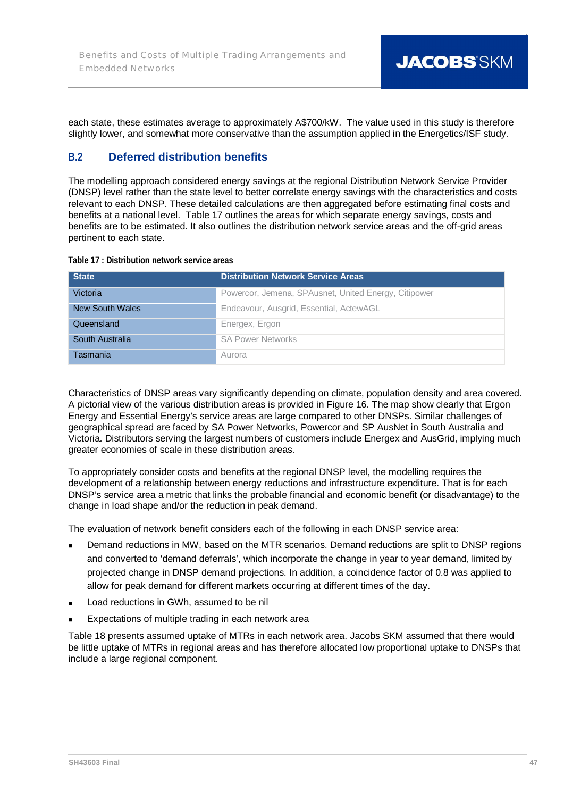each state, these estimates average to approximately A\$700/kW. The value used in this study is therefore slightly lower, and somewhat more conservative than the assumption applied in the Energetics/ISF study.

# **B.2 Deferred distribution benefits**

The modelling approach considered energy savings at the regional Distribution Network Service Provider (DNSP) level rather than the state level to better correlate energy savings with the characteristics and costs relevant to each DNSP. These detailed calculations are then aggregated before estimating final costs and benefits at a national level. Table 17 outlines the areas for which separate energy savings, costs and benefits are to be estimated. It also outlines the distribution network service areas and the off-grid areas pertinent to each state.

| <b>State</b>    | <b>Distribution Network Service Areas</b>            |
|-----------------|------------------------------------------------------|
| Victoria        | Powercor, Jemena, SPAusnet, United Energy, Citipower |
| New South Wales | Endeavour, Ausgrid, Essential, ActewAGL              |
| Queensland      | Energex, Ergon                                       |
| South Australia | <b>SA Power Networks</b>                             |
| Tasmania        | Aurora                                               |

**Table 17 : Distribution network service areas** 

Characteristics of DNSP areas vary significantly depending on climate, population density and area covered. A pictorial view of the various distribution areas is provided in Figure 16. The map show clearly that Ergon Energy and Essential Energy's service areas are large compared to other DNSPs. Similar challenges of geographical spread are faced by SA Power Networks, Powercor and SP AusNet in South Australia and Victoria. Distributors serving the largest numbers of customers include Energex and AusGrid, implying much greater economies of scale in these distribution areas.

To appropriately consider costs and benefits at the regional DNSP level, the modelling requires the development of a relationship between energy reductions and infrastructure expenditure. That is for each DNSP's service area a metric that links the probable financial and economic benefit (or disadvantage) to the change in load shape and/or the reduction in peak demand.

The evaluation of network benefit considers each of the following in each DNSP service area:

- Demand reductions in MW, based on the MTR scenarios. Demand reductions are split to DNSP regions and converted to 'demand deferrals', which incorporate the change in year to year demand, limited by projected change in DNSP demand projections. In addition, a coincidence factor of 0.8 was applied to allow for peak demand for different markets occurring at different times of the day.
- Load reductions in GWh, assumed to be nil
- Expectations of multiple trading in each network area

Table 18 presents assumed uptake of MTRs in each network area. Jacobs SKM assumed that there would be little uptake of MTRs in regional areas and has therefore allocated low proportional uptake to DNSPs that include a large regional component.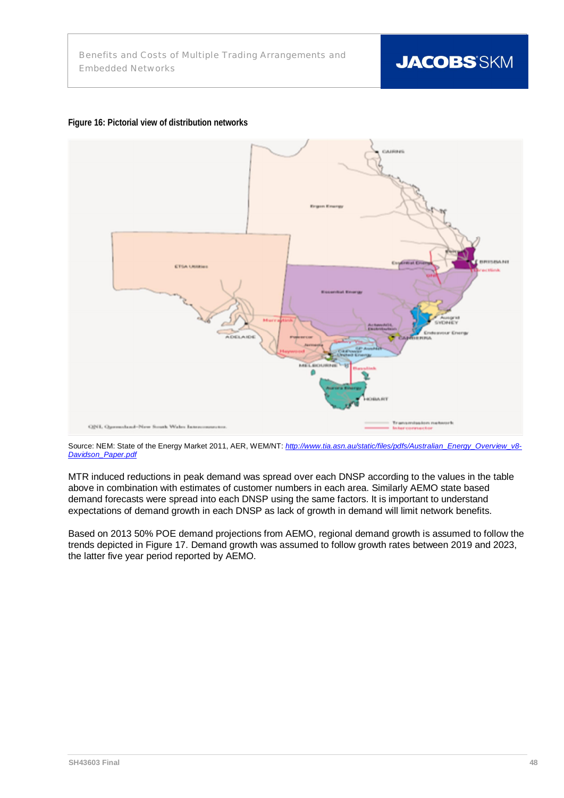#### **Figure 16: Pictorial view of distribution networks**

![](_page_51_Figure_3.jpeg)

Source: NEM: State of the Energy Market 2011, AER, WEM/NT: *http://www.tia.asn.au/static/files/pdfs/Australian\_Energy\_Overview\_v8-Davidson\_Paper.pdf*

MTR induced reductions in peak demand was spread over each DNSP according to the values in the table above in combination with estimates of customer numbers in each area. Similarly AEMO state based demand forecasts were spread into each DNSP using the same factors. It is important to understand expectations of demand growth in each DNSP as lack of growth in demand will limit network benefits.

Based on 2013 50% POE demand projections from AEMO, regional demand growth is assumed to follow the trends depicted in Figure 17. Demand growth was assumed to follow growth rates between 2019 and 2023, the latter five year period reported by AEMO.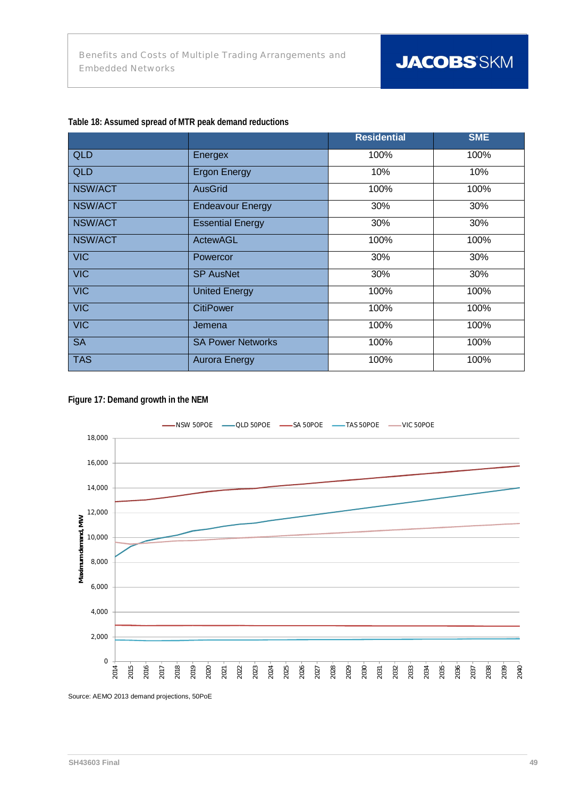|            |                          | <b>Residential</b> | <b>SME</b> |
|------------|--------------------------|--------------------|------------|
| <b>QLD</b> | Energex                  | 100%               | 100%       |
| <b>QLD</b> | <b>Ergon Energy</b>      | 10%                | 10%        |
| NSW/ACT    | <b>AusGrid</b>           | 100%               | 100%       |
| NSW/ACT    | <b>Endeavour Energy</b>  | 30%                | 30%        |
| NSW/ACT    | <b>Essential Energy</b>  | 30%                | 30%        |
| NSW/ACT    | <b>ActewAGL</b>          | 100%               | 100%       |
| <b>VIC</b> | Powercor                 | 30%                | 30%        |
| <b>VIC</b> | <b>SP AusNet</b>         | 30%                | 30%        |
| <b>VIC</b> | <b>United Energy</b>     | 100%               | 100%       |
| <b>VIC</b> | <b>CitiPower</b>         | 100%               | 100%       |
| <b>VIC</b> | Jemena                   | 100%               | 100%       |
| <b>SA</b>  | <b>SA Power Networks</b> | 100%               | 100%       |
| <b>TAS</b> | <b>Aurora Energy</b>     | 100%               | 100%       |

#### **Table 18: Assumed spread of MTR peak demand reductions**

#### **Figure 17: Demand growth in the NEM**

![](_page_52_Figure_5.jpeg)

Source: AEMO 2013 demand projections, 50PoE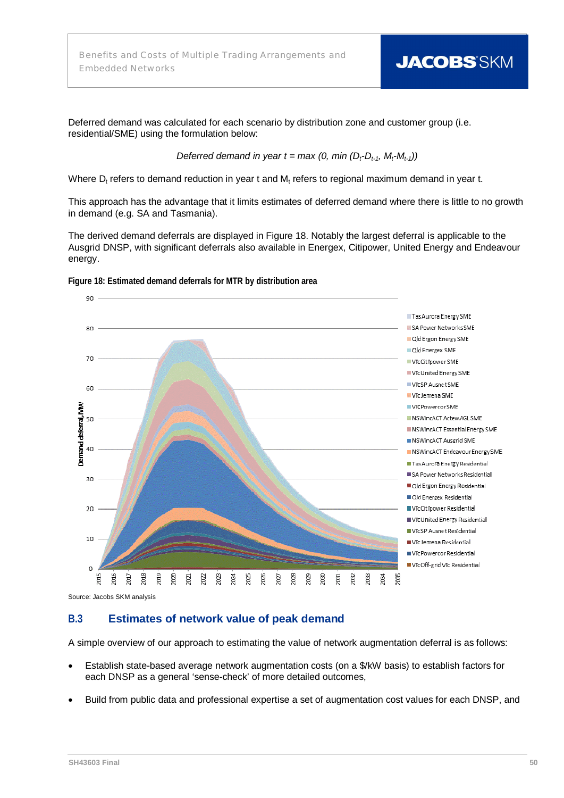Deferred demand was calculated for each scenario by distribution zone and customer group (i.e. residential/SME) using the formulation below:

#### *Deferred demand in year t = max (0, min*  $(D_t - D_{t-1}, M_t - M_{t-1})$ *)*

**JACOBS**'SKM

Where  $D_t$  refers to demand reduction in year t and  $M_t$  refers to regional maximum demand in year t.

This approach has the advantage that it limits estimates of deferred demand where there is little to no growth in demand (e.g. SA and Tasmania).

The derived demand deferrals are displayed in Figure 18. Notably the largest deferral is applicable to the Ausgrid DNSP, with significant deferrals also available in Energex, Citipower, United Energy and Endeavour energy.

![](_page_53_Figure_6.jpeg)

**Figure 18: Estimated demand deferrals for MTR by distribution area** 

Source: Jacobs SKM analysis

# **B.3 Estimates of network value of peak demand**

A simple overview of our approach to estimating the value of network augmentation deferral is as follows:

- Establish state-based average network augmentation costs (on a \$/kW basis) to establish factors for each DNSP as a general 'sense-check' of more detailed outcomes,
- Build from public data and professional expertise a set of augmentation cost values for each DNSP, and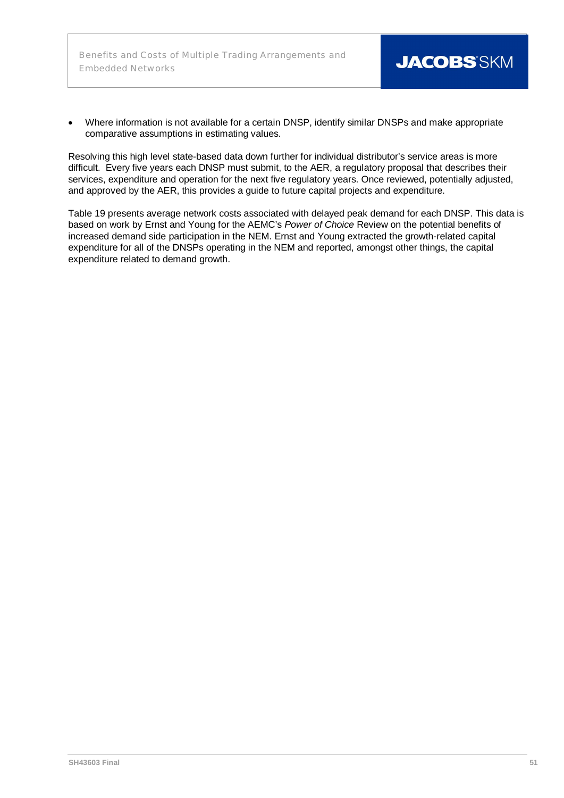Benefits and Costs of Multiple Trading Arrangements and Embedded Networks

• Where information is not available for a certain DNSP, identify similar DNSPs and make appropriate comparative assumptions in estimating values.

Resolving this high level state-based data down further for individual distributor's service areas is more difficult. Every five years each DNSP must submit, to the AER, a regulatory proposal that describes their services, expenditure and operation for the next five regulatory years. Once reviewed, potentially adjusted, and approved by the AER, this provides a guide to future capital projects and expenditure.

Table 19 presents average network costs associated with delayed peak demand for each DNSP. This data is based on work by Ernst and Young for the AEMC's *Power of Choice* Review on the potential benefits of increased demand side participation in the NEM. Ernst and Young extracted the growth-related capital expenditure for all of the DNSPs operating in the NEM and reported, amongst other things, the capital expenditure related to demand growth.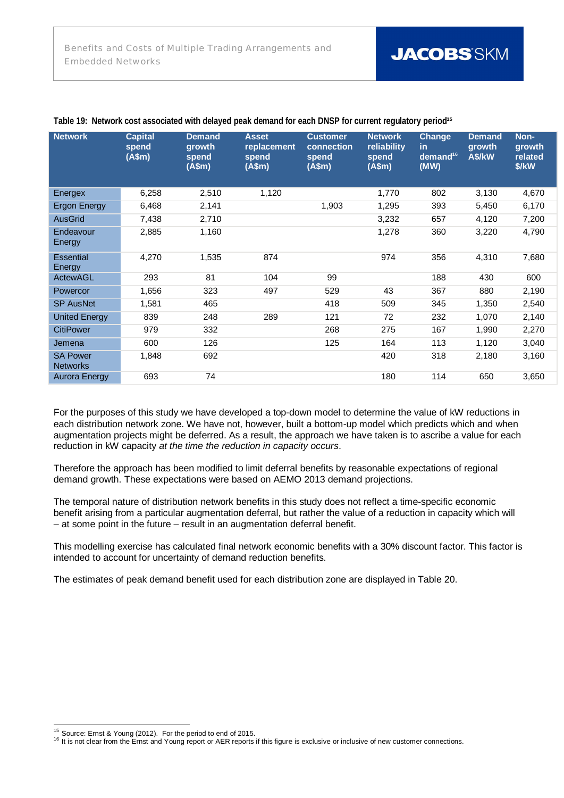| <b>Network</b>                     | <b>Capital</b><br>spend<br>(A\$m) | <b>Demand</b><br>growth<br>spend<br>(A\$m) | <b>Asset</b><br>replacement<br>spend<br>(A\$m) | <b>Customer</b><br>connection<br>spend<br>(A\$m) | <b>Network</b><br>reliability<br>spend<br>(A\$m) | <b>Change</b><br>in.<br>demand <sup>16</sup><br>(MW) | <b>Demand</b><br>growth<br>A\$/kW | Non-<br>growth<br>related<br>\$/kW |
|------------------------------------|-----------------------------------|--------------------------------------------|------------------------------------------------|--------------------------------------------------|--------------------------------------------------|------------------------------------------------------|-----------------------------------|------------------------------------|
| Energex                            | 6,258                             | 2,510                                      | 1,120                                          |                                                  | 1,770                                            | 802                                                  | 3,130                             | 4,670                              |
| <b>Ergon Energy</b>                | 6,468                             | 2,141                                      |                                                | 1,903                                            | 1,295                                            | 393                                                  | 5,450                             | 6,170                              |
| <b>AusGrid</b>                     | 7,438                             | 2,710                                      |                                                |                                                  | 3,232                                            | 657                                                  | 4,120                             | 7,200                              |
| Endeavour<br>Energy                | 2,885                             | 1,160                                      |                                                |                                                  | 1,278                                            | 360                                                  | 3,220                             | 4,790                              |
| Essential<br>Energy                | 4,270                             | 1,535                                      | 874                                            |                                                  | 974                                              | 356                                                  | 4,310                             | 7,680                              |
| ActewAGL                           | 293                               | 81                                         | 104                                            | 99                                               |                                                  | 188                                                  | 430                               | 600                                |
| Powercor                           | 1,656                             | 323                                        | 497                                            | 529                                              | 43                                               | 367                                                  | 880                               | 2,190                              |
| <b>SP AusNet</b>                   | 1,581                             | 465                                        |                                                | 418                                              | 509                                              | 345                                                  | 1,350                             | 2,540                              |
| <b>United Energy</b>               | 839                               | 248                                        | 289                                            | 121                                              | 72                                               | 232                                                  | 1,070                             | 2,140                              |
| <b>CitiPower</b>                   | 979                               | 332                                        |                                                | 268                                              | 275                                              | 167                                                  | 1,990                             | 2,270                              |
| Jemena                             | 600                               | 126                                        |                                                | 125                                              | 164                                              | 113                                                  | 1,120                             | 3,040                              |
| <b>SA Power</b><br><b>Networks</b> | 1,848                             | 692                                        |                                                |                                                  | 420                                              | 318                                                  | 2,180                             | 3,160                              |
| Aurora Energy                      | 693                               | 74                                         |                                                |                                                  | 180                                              | 114                                                  | 650                               | 3,650                              |

**Table 19: Network cost associated with delayed peak demand for each DNSP for current regulatory period<sup>15</sup>** 

For the purposes of this study we have developed a top-down model to determine the value of kW reductions in each distribution network zone. We have not, however, built a bottom-up model which predicts which and when augmentation projects might be deferred. As a result, the approach we have taken is to ascribe a value for each reduction in kW capacity *at the time the reduction in capacity occurs*.

Therefore the approach has been modified to limit deferral benefits by reasonable expectations of regional demand growth. These expectations were based on AEMO 2013 demand projections.

The temporal nature of distribution network benefits in this study does not reflect a time-specific economic benefit arising from a particular augmentation deferral, but rather the value of a reduction in capacity which will – at some point in the future – result in an augmentation deferral benefit.

This modelling exercise has calculated final network economic benefits with a 30% discount factor. This factor is intended to account for uncertainty of demand reduction benefits.

The estimates of peak demand benefit used for each distribution zone are displayed in Table 20.

<sup>-</sup><sup>15</sup> Source: Ernst & Young (2012). For the period to end of 2015.

<sup>16</sup> It is not clear from the Ernst and Young report or AER reports if this figure is exclusive or inclusive of new customer connections.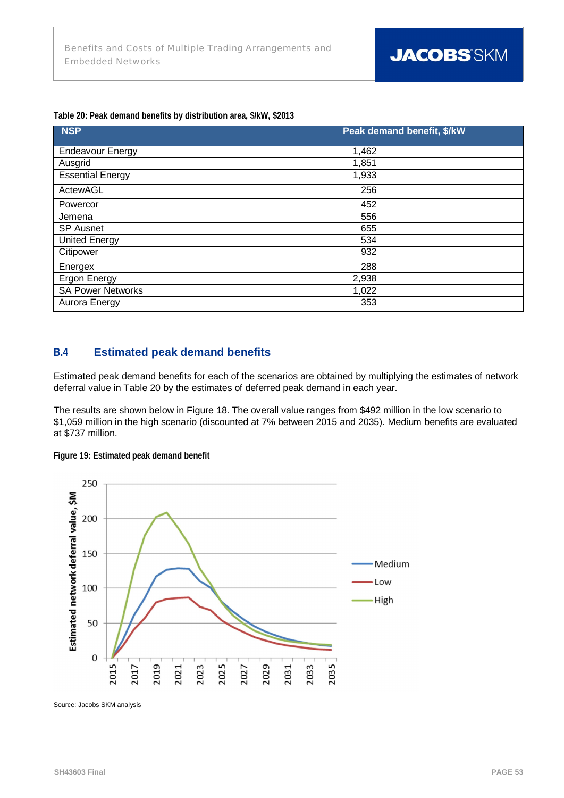**Table 20: Peak demand benefits by distribution area, \$/kW, \$2013** 

| <b>NSP</b>               | Peak demand benefit, \$/kW |
|--------------------------|----------------------------|
| <b>Endeavour Energy</b>  | 1,462                      |
| Ausgrid                  | 1,851                      |
| <b>Essential Energy</b>  | 1,933                      |
| ActewAGL                 | 256                        |
| Powercor                 | 452                        |
| Jemena                   | 556                        |
| <b>SP</b> Ausnet         | 655                        |
| <b>United Energy</b>     | 534                        |
| Citipower                | 932                        |
| Energex                  | 288                        |
| <b>Ergon Energy</b>      | 2,938                      |
| <b>SA Power Networks</b> | 1,022                      |
| Aurora Energy            | 353                        |

# **B.4 Estimated peak demand benefits**

Estimated peak demand benefits for each of the scenarios are obtained by multiplying the estimates of network deferral value in Table 20 by the estimates of deferred peak demand in each year.

The results are shown below in Figure 18. The overall value ranges from \$492 million in the low scenario to \$1,059 million in the high scenario (discounted at 7% between 2015 and 2035). Medium benefits are evaluated at \$737 million.

![](_page_56_Figure_7.jpeg)

![](_page_56_Figure_8.jpeg)

Source: Jacobs SKM analysis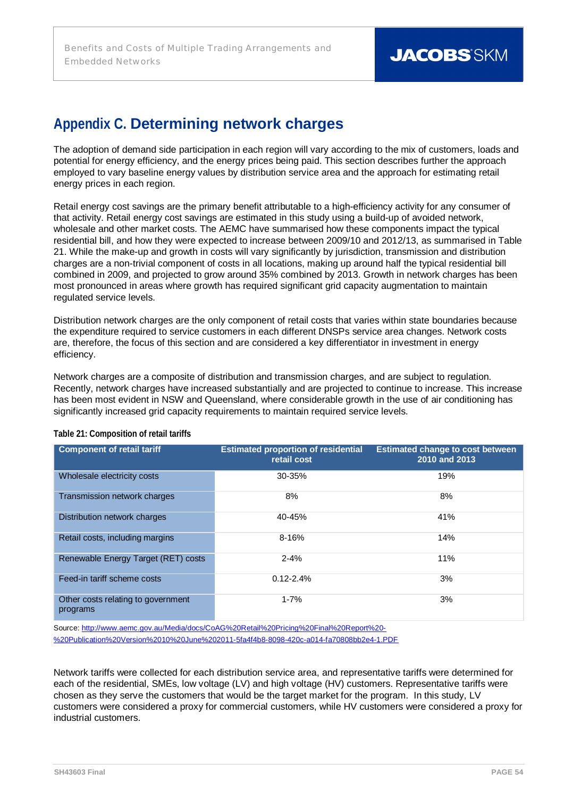# **Appendix C. Determining network charges**

The adoption of demand side participation in each region will vary according to the mix of customers, loads and potential for energy efficiency, and the energy prices being paid. This section describes further the approach employed to vary baseline energy values by distribution service area and the approach for estimating retail energy prices in each region.

Retail energy cost savings are the primary benefit attributable to a high-efficiency activity for any consumer of that activity. Retail energy cost savings are estimated in this study using a build-up of avoided network, wholesale and other market costs. The AEMC have summarised how these components impact the typical residential bill, and how they were expected to increase between 2009/10 and 2012/13, as summarised in Table 21. While the make-up and growth in costs will vary significantly by jurisdiction, transmission and distribution charges are a non-trivial component of costs in all locations, making up around half the typical residential bill combined in 2009, and projected to grow around 35% combined by 2013. Growth in network charges has been most pronounced in areas where growth has required significant grid capacity augmentation to maintain regulated service levels.

Distribution network charges are the only component of retail costs that varies within state boundaries because the expenditure required to service customers in each different DNSPs service area changes. Network costs are, therefore, the focus of this section and are considered a key differentiator in investment in energy efficiency.

Network charges are a composite of distribution and transmission charges, and are subject to regulation. Recently, network charges have increased substantially and are projected to continue to increase. This increase has been most evident in NSW and Queensland, where considerable growth in the use of air conditioning has significantly increased grid capacity requirements to maintain required service levels.

| <b>Component of retail tariff</b>              | <b>Estimated proportion of residential</b><br>retail cost | <b>Estimated change to cost between</b><br>2010 and 2013 |
|------------------------------------------------|-----------------------------------------------------------|----------------------------------------------------------|
| Wholesale electricity costs                    | 30-35%                                                    | 19%                                                      |
| Transmission network charges                   | 8%                                                        | 8%                                                       |
| Distribution network charges                   | 40-45%                                                    | 41%                                                      |
| Retail costs, including margins                | $8 - 16%$                                                 | 14%                                                      |
| Renewable Energy Target (RET) costs            | $2 - 4%$                                                  | 11%                                                      |
| Feed-in tariff scheme costs                    | $0.12 - 2.4%$                                             | 3%                                                       |
| Other costs relating to government<br>programs | $1 - 7%$                                                  | 3%                                                       |

**Table 21: Composition of retail tariffs** 

Source: http://www.aemc.gov.au/Media/docs/CoAG%20Retail%20Pricing%20Final%20Report%20- %20Publication%20Version%2010%20June%202011-5fa4f4b8-8098-420c-a014-fa70808bb2e4-1.PDF

Network tariffs were collected for each distribution service area, and representative tariffs were determined for each of the residential, SMEs, low voltage (LV) and high voltage (HV) customers. Representative tariffs were chosen as they serve the customers that would be the target market for the program. In this study, LV customers were considered a proxy for commercial customers, while HV customers were considered a proxy for industrial customers.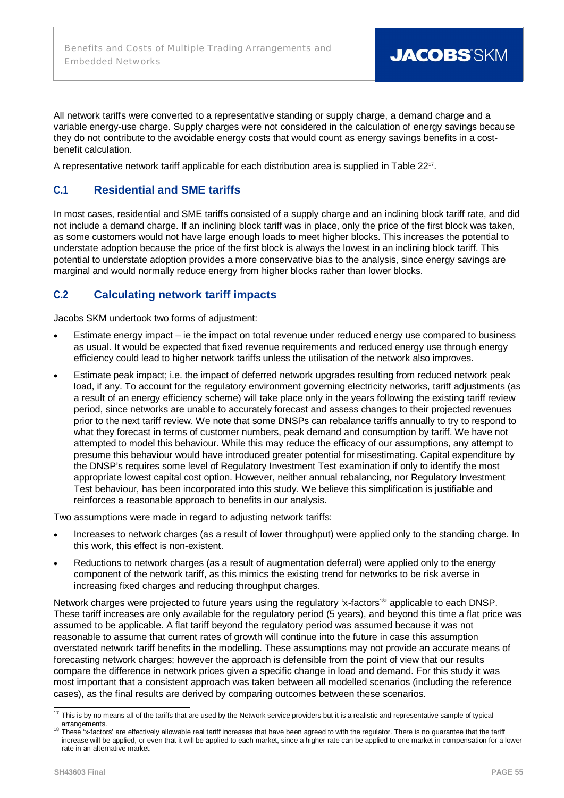All network tariffs were converted to a representative standing or supply charge, a demand charge and a variable energy-use charge. Supply charges were not considered in the calculation of energy savings because they do not contribute to the avoidable energy costs that would count as energy savings benefits in a costbenefit calculation.

A representative network tariff applicable for each distribution area is supplied in Table 22<sup>17</sup>.

# **C.1 Residential and SME tariffs**

In most cases, residential and SME tariffs consisted of a supply charge and an inclining block tariff rate, and did not include a demand charge. If an inclining block tariff was in place, only the price of the first block was taken, as some customers would not have large enough loads to meet higher blocks. This increases the potential to understate adoption because the price of the first block is always the lowest in an inclining block tariff. This potential to understate adoption provides a more conservative bias to the analysis, since energy savings are marginal and would normally reduce energy from higher blocks rather than lower blocks.

# **C.2 Calculating network tariff impacts**

Jacobs SKM undertook two forms of adjustment:

- Estimate energy impact ie the impact on total revenue under reduced energy use compared to business as usual. It would be expected that fixed revenue requirements and reduced energy use through energy efficiency could lead to higher network tariffs unless the utilisation of the network also improves.
- Estimate peak impact; i.e. the impact of deferred network upgrades resulting from reduced network peak load, if any. To account for the regulatory environment governing electricity networks, tariff adjustments (as a result of an energy efficiency scheme) will take place only in the years following the existing tariff review period, since networks are unable to accurately forecast and assess changes to their projected revenues prior to the next tariff review. We note that some DNSPs can rebalance tariffs annually to try to respond to what they forecast in terms of customer numbers, peak demand and consumption by tariff. We have not attempted to model this behaviour. While this may reduce the efficacy of our assumptions, any attempt to presume this behaviour would have introduced greater potential for misestimating. Capital expenditure by the DNSP's requires some level of Regulatory Investment Test examination if only to identify the most appropriate lowest capital cost option. However, neither annual rebalancing, nor Regulatory Investment Test behaviour, has been incorporated into this study. We believe this simplification is justifiable and reinforces a reasonable approach to benefits in our analysis.

Two assumptions were made in regard to adjusting network tariffs:

- Increases to network charges (as a result of lower throughput) were applied only to the standing charge. In this work, this effect is non-existent.
- Reductions to network charges (as a result of augmentation deferral) were applied only to the energy component of the network tariff, as this mimics the existing trend for networks to be risk averse in increasing fixed charges and reducing throughput charges.

Network charges were projected to future years using the regulatory 'x-factors<sup>18'</sup> applicable to each DNSP. These tariff increases are only available for the regulatory period (5 years), and beyond this time a flat price was assumed to be applicable. A flat tariff beyond the regulatory period was assumed because it was not reasonable to assume that current rates of growth will continue into the future in case this assumption overstated network tariff benefits in the modelling. These assumptions may not provide an accurate means of forecasting network charges; however the approach is defensible from the point of view that our results compare the difference in network prices given a specific change in load and demand. For this study it was most important that a consistent approach was taken between all modelled scenarios (including the reference cases), as the final results are derived by comparing outcomes between these scenarios.

1

 $17$  This is by no means all of the tariffs that are used by the Network service providers but it is a realistic and representative sample of typical arrangements.

<sup>18</sup> These 'x-factors' are effectively allowable real tariff increases that have been agreed to with the regulator. There is no guarantee that the tariff increase will be applied, or even that it will be applied to each market, since a higher rate can be applied to one market in compensation for a lower rate in an alternative market.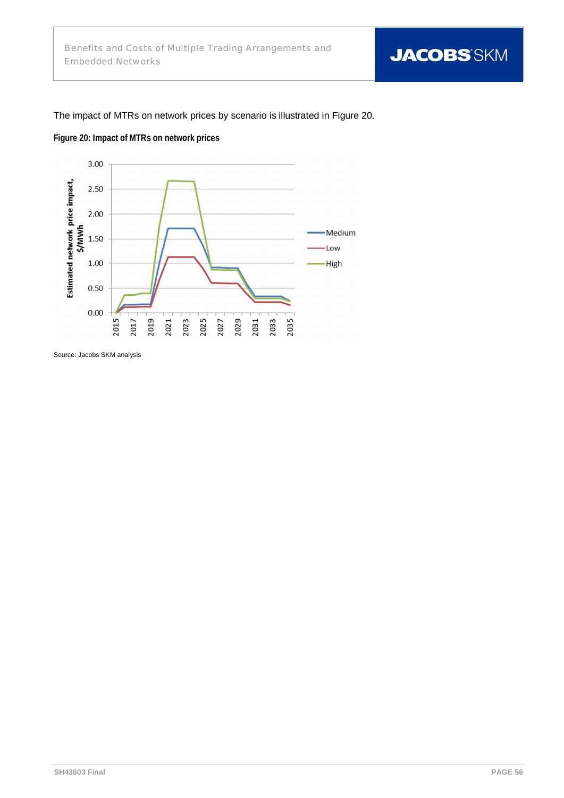The impact of MTRs on network prices by scenario is illustrated in Figure 20.

**Figure 20: Impact of MTRs on network prices** 

![](_page_59_Figure_4.jpeg)

Source: Jacobs SKM analysis